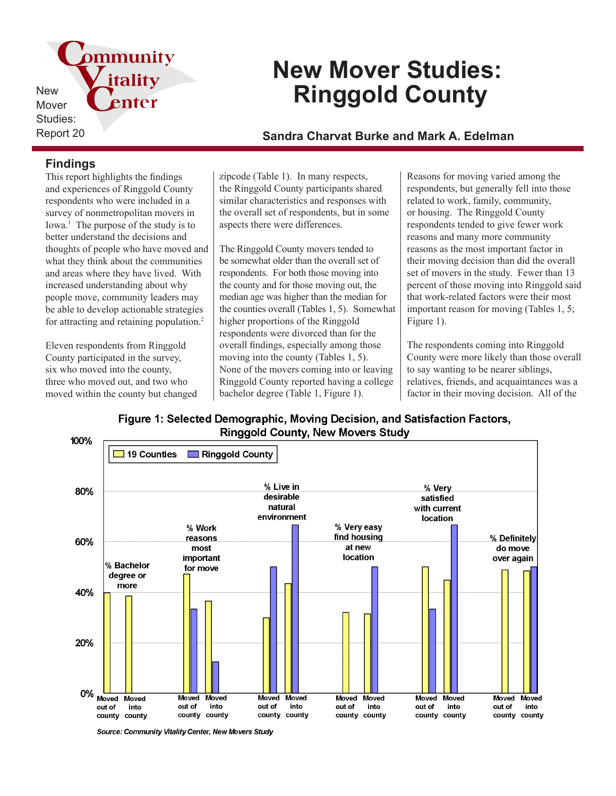pmmunity itality **New** enter Mover Studies:

# **New Mover Studies: Ringgold County**

# Report 20 **Sandra Charvat Burke and Mark A. Edelman**

### **Findings**

This report highlights the findings and experiences of Ringgold County respondents who were included in a survey of nonmetropolitan movers in Iowa.<sup>1</sup> The purpose of the study is to better understand the decisions and thoughts of people who have moved and what they think about the communities and areas where they have lived. With increased understanding about why people move, community leaders may be able to develop actionable strategies for attracting and retaining population.<sup>2</sup>

Eleven respondents from Ringgold County participated in the survey, six who moved into the county, three who moved out, and two who moved within the county but changed

zipcode (Table 1). In many respects, the Ringgold County participants shared similar characteristics and responses with the overall set of respondents, but in some aspects there were differences.

The Ringgold County movers tended to be somewhat older than the overall set of respondents. For both those moving into the county and for those moving out, the median age was higher than the median for the counties overall (Tables 1, 5). Somewhat higher proportions of the Ringgold respondents were divorced than for the overall findings, especially among those moving into the county (Tables 1, 5). None of the movers coming into or leaving Ringgold County reported having a college bachelor degree (Table 1, Figure 1).

Reasons for moving varied among the respondents, but generally fell into those related to work, family, community, or housing. The Ringgold County respondents tended to give fewer work reasons and many more community reasons as the most important factor in their moving decision than did the overall set of movers in the study. Fewer than 13 percent of those moving into Ringgold said that work-related factors were their most important reason for moving (Tables 1, 5; Figure 1).

The respondents coming into Ringgold County were more likely than those overall to say wanting to be nearer siblings, relatives, friends, and acquaintances was a factor in their moving decision. All of the

Figure 1: Selected Demographic, Moving Decision, and Satisfaction Factors, **Ringgold County, New Movers Study** 



Source: Community Vitality Center, New Movers Study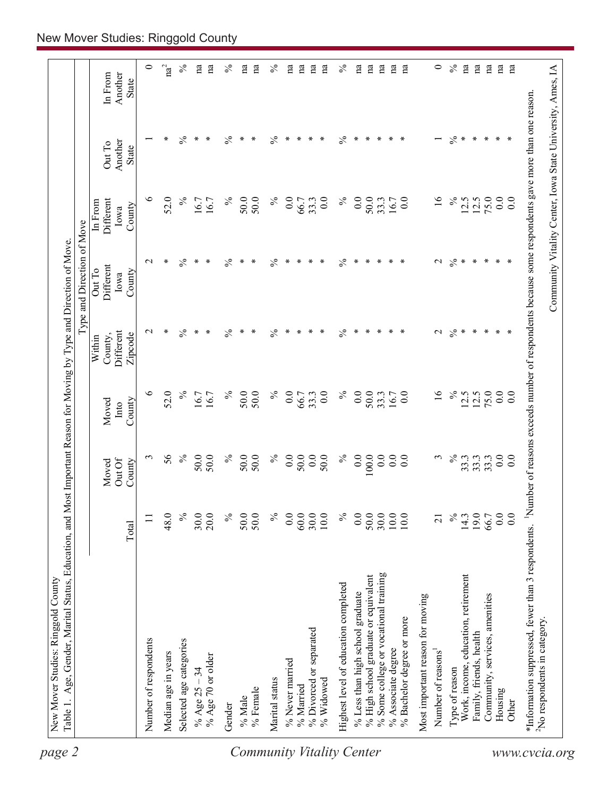| $\mathrm{na}^2$<br>na<br>na<br>$\%$<br>$\circ$<br>$\%$<br>na<br>na<br>$\%$<br>na<br>na<br>$\mathbf{a}$<br>$\%$<br>na<br>$\overline{\mathrm{na}}$<br>na<br>na<br>na<br>$\mathbf{n}$ a<br>na<br>na<br>na<br>In From<br>Another<br>State<br>$\frac{5}{6}$<br>$\%$<br>$\%$<br>$\%$<br>$\%$<br>$\ast$<br>∗<br>$\ast$<br>$\ast$<br>$\ast$<br>∗<br>$\ast$<br>∗<br>∗<br>∗<br>∗<br>∗<br>∗<br>∗<br>∗<br>∗<br>∗<br>$\ast$<br>$\overline{\phantom{0}}$<br>Another<br>Out To<br>State<br>$\%$<br>७<br>52.0<br>$\%$<br>$\%$<br>$\%$<br>$\%$<br>$\overline{16}$<br>75.0<br>0.0<br>50.0<br>50.0<br>$\overline{0}$ .<br>0.0<br>$\overline{0}$ .<br>50.0<br>0.0<br>12.5<br>12.5<br>$0.0\,$<br>Different<br>16.7<br>33.3<br>16.7<br>66.7<br>33.3<br>16.7<br>In From<br>County<br>Iowa<br>$\frac{5}{6}$<br>$\frac{5}{6}$<br>$\frac{5}{6}$<br>$\frac{5}{6}$<br>$\%$<br>$\ast$<br>∗<br>$\ast$<br>∗<br>$\ast$<br>∗<br>$\ast$<br>$\mathcal{L}$<br>$\ast$<br>$\ast$<br>$\ast$<br>$\mathbf{\sim}$<br>∗<br>∗<br>∗<br>∗<br>∗<br>∗<br>$\ast$<br>∗<br>∗<br>Different<br>Out To<br>County<br>Iowa<br>$\frac{5}{6}$<br>$\%$<br>$\%$<br>$\%$<br>$\%$<br>∗<br>∗<br>∗<br>$\ast$<br>∗<br>$\mathcal{L}$<br>$\ast$<br>∗<br>∗<br>∗<br>∗<br>∗<br>∗<br>∗<br>∗<br>∗<br>∗<br>∗<br>$\mathbf{\sim}$<br>∗<br>∗<br>Different<br>Zipcode<br>County,<br>Within<br>$\circ$<br>$\overline{16}$<br>52.0<br>$\%$<br>$\%$<br>50.0<br>$\%$<br>$\%$<br>$\%$<br>75.0<br>0.0<br>50.0<br>$\overline{0}$ .<br>0.0<br>0.0<br>50.0<br>0.0<br>12.5<br>0.0<br>16.7<br>33.3<br>12.5<br>66.7<br>33.3<br>16.7<br>16.7<br>Moved<br>County<br>Into<br>$\%$<br>$\%$<br>56<br>$\%$<br>0.0<br>0.0<br>0.0<br>$\%$<br>0.0<br>50.0<br>$\%$<br>50.0<br>50.0<br>0.0<br>50.0<br>50.0<br>$100.0$<br>$\overline{0}$ .<br>33.3<br>$\epsilon$<br>50.0<br>0.0<br>$\epsilon$<br>33.3<br>33.3<br>$\overline{0.0}$<br>Out Of<br>County<br>Moved<br>30.0<br>$\lesssim$<br>50.0<br>19.0<br>$\begin{array}{c} 66.7 \\ 0.0 \\ 0.0 \end{array}$<br>48.0<br>$\frac{5}{6}$<br>20.0<br>$\%$<br>50.0<br>50.0<br>$\%$<br>0.0<br>60.0<br>30.0<br>10.0<br>0.0<br>$\frac{30.0}{10.0}$<br>$\%$<br>10.0<br>14.3<br>$\equiv$<br>$\overline{c}$<br>Total<br>% Some college or vocational training<br>Work, income, education, retirement<br>% High school graduate or equivalent<br>Highest level of education completed<br>% Less than high school graduate<br>Community, services, amenities<br>Most important reason for moving<br>% Bachelor degree or more<br>% Divorced or separated<br>Family, friends, health<br>Number of respondents<br>Selected age categories<br>% Associate degree<br>Number of reasons <sup>1</sup><br>Median age in years<br>% Age 70 or older<br>% Never married<br>% Age $25 - 34$<br>Type of reason<br>Marital status<br>% Widowed<br>% Married<br>% Female<br>Housing<br>% Male<br>Other<br>Gender | Number of reasons exceeds number of respondents because some respondents gave more than one reason.<br>*Information suppressed, fewer than 3 respondents.<br><sup>2</sup> No respondents in category |  |  | Type and Direction of Move |  |              |
|--------------------------------------------------------------------------------------------------------------------------------------------------------------------------------------------------------------------------------------------------------------------------------------------------------------------------------------------------------------------------------------------------------------------------------------------------------------------------------------------------------------------------------------------------------------------------------------------------------------------------------------------------------------------------------------------------------------------------------------------------------------------------------------------------------------------------------------------------------------------------------------------------------------------------------------------------------------------------------------------------------------------------------------------------------------------------------------------------------------------------------------------------------------------------------------------------------------------------------------------------------------------------------------------------------------------------------------------------------------------------------------------------------------------------------------------------------------------------------------------------------------------------------------------------------------------------------------------------------------------------------------------------------------------------------------------------------------------------------------------------------------------------------------------------------------------------------------------------------------------------------------------------------------------------------------------------------------------------------------------------------------------------------------------------------------------------------------------------------------------------------------------------------------------------------------------------------------------------------------------------------------------------------------------------------------------------------------------------------------------------------------------------------------------------------------------------------------------------------------------------------------------------------------------------------------------------------------------------------------------------------------------------------------------------------------------------------------------------------------------------------------------------------------------------------------------------------|------------------------------------------------------------------------------------------------------------------------------------------------------------------------------------------------------|--|--|----------------------------|--|--------------|
|                                                                                                                                                                                                                                                                                                                                                                                                                                                                                                                                                                                                                                                                                                                                                                                                                                                                                                                                                                                                                                                                                                                                                                                                                                                                                                                                                                                                                                                                                                                                                                                                                                                                                                                                                                                                                                                                                                                                                                                                                                                                                                                                                                                                                                                                                                                                                                                                                                                                                                                                                                                                                                                                                                                                                                                                                                |                                                                                                                                                                                                      |  |  |                            |  |              |
|                                                                                                                                                                                                                                                                                                                                                                                                                                                                                                                                                                                                                                                                                                                                                                                                                                                                                                                                                                                                                                                                                                                                                                                                                                                                                                                                                                                                                                                                                                                                                                                                                                                                                                                                                                                                                                                                                                                                                                                                                                                                                                                                                                                                                                                                                                                                                                                                                                                                                                                                                                                                                                                                                                                                                                                                                                |                                                                                                                                                                                                      |  |  |                            |  | $\circ$      |
|                                                                                                                                                                                                                                                                                                                                                                                                                                                                                                                                                                                                                                                                                                                                                                                                                                                                                                                                                                                                                                                                                                                                                                                                                                                                                                                                                                                                                                                                                                                                                                                                                                                                                                                                                                                                                                                                                                                                                                                                                                                                                                                                                                                                                                                                                                                                                                                                                                                                                                                                                                                                                                                                                                                                                                                                                                |                                                                                                                                                                                                      |  |  |                            |  |              |
|                                                                                                                                                                                                                                                                                                                                                                                                                                                                                                                                                                                                                                                                                                                                                                                                                                                                                                                                                                                                                                                                                                                                                                                                                                                                                                                                                                                                                                                                                                                                                                                                                                                                                                                                                                                                                                                                                                                                                                                                                                                                                                                                                                                                                                                                                                                                                                                                                                                                                                                                                                                                                                                                                                                                                                                                                                |                                                                                                                                                                                                      |  |  |                            |  |              |
|                                                                                                                                                                                                                                                                                                                                                                                                                                                                                                                                                                                                                                                                                                                                                                                                                                                                                                                                                                                                                                                                                                                                                                                                                                                                                                                                                                                                                                                                                                                                                                                                                                                                                                                                                                                                                                                                                                                                                                                                                                                                                                                                                                                                                                                                                                                                                                                                                                                                                                                                                                                                                                                                                                                                                                                                                                |                                                                                                                                                                                                      |  |  |                            |  |              |
|                                                                                                                                                                                                                                                                                                                                                                                                                                                                                                                                                                                                                                                                                                                                                                                                                                                                                                                                                                                                                                                                                                                                                                                                                                                                                                                                                                                                                                                                                                                                                                                                                                                                                                                                                                                                                                                                                                                                                                                                                                                                                                                                                                                                                                                                                                                                                                                                                                                                                                                                                                                                                                                                                                                                                                                                                                |                                                                                                                                                                                                      |  |  |                            |  | na           |
|                                                                                                                                                                                                                                                                                                                                                                                                                                                                                                                                                                                                                                                                                                                                                                                                                                                                                                                                                                                                                                                                                                                                                                                                                                                                                                                                                                                                                                                                                                                                                                                                                                                                                                                                                                                                                                                                                                                                                                                                                                                                                                                                                                                                                                                                                                                                                                                                                                                                                                                                                                                                                                                                                                                                                                                                                                |                                                                                                                                                                                                      |  |  |                            |  | $\%$         |
|                                                                                                                                                                                                                                                                                                                                                                                                                                                                                                                                                                                                                                                                                                                                                                                                                                                                                                                                                                                                                                                                                                                                                                                                                                                                                                                                                                                                                                                                                                                                                                                                                                                                                                                                                                                                                                                                                                                                                                                                                                                                                                                                                                                                                                                                                                                                                                                                                                                                                                                                                                                                                                                                                                                                                                                                                                |                                                                                                                                                                                                      |  |  |                            |  |              |
|                                                                                                                                                                                                                                                                                                                                                                                                                                                                                                                                                                                                                                                                                                                                                                                                                                                                                                                                                                                                                                                                                                                                                                                                                                                                                                                                                                                                                                                                                                                                                                                                                                                                                                                                                                                                                                                                                                                                                                                                                                                                                                                                                                                                                                                                                                                                                                                                                                                                                                                                                                                                                                                                                                                                                                                                                                |                                                                                                                                                                                                      |  |  |                            |  |              |
|                                                                                                                                                                                                                                                                                                                                                                                                                                                                                                                                                                                                                                                                                                                                                                                                                                                                                                                                                                                                                                                                                                                                                                                                                                                                                                                                                                                                                                                                                                                                                                                                                                                                                                                                                                                                                                                                                                                                                                                                                                                                                                                                                                                                                                                                                                                                                                                                                                                                                                                                                                                                                                                                                                                                                                                                                                |                                                                                                                                                                                                      |  |  |                            |  |              |
|                                                                                                                                                                                                                                                                                                                                                                                                                                                                                                                                                                                                                                                                                                                                                                                                                                                                                                                                                                                                                                                                                                                                                                                                                                                                                                                                                                                                                                                                                                                                                                                                                                                                                                                                                                                                                                                                                                                                                                                                                                                                                                                                                                                                                                                                                                                                                                                                                                                                                                                                                                                                                                                                                                                                                                                                                                |                                                                                                                                                                                                      |  |  |                            |  |              |
|                                                                                                                                                                                                                                                                                                                                                                                                                                                                                                                                                                                                                                                                                                                                                                                                                                                                                                                                                                                                                                                                                                                                                                                                                                                                                                                                                                                                                                                                                                                                                                                                                                                                                                                                                                                                                                                                                                                                                                                                                                                                                                                                                                                                                                                                                                                                                                                                                                                                                                                                                                                                                                                                                                                                                                                                                                |                                                                                                                                                                                                      |  |  |                            |  |              |
|                                                                                                                                                                                                                                                                                                                                                                                                                                                                                                                                                                                                                                                                                                                                                                                                                                                                                                                                                                                                                                                                                                                                                                                                                                                                                                                                                                                                                                                                                                                                                                                                                                                                                                                                                                                                                                                                                                                                                                                                                                                                                                                                                                                                                                                                                                                                                                                                                                                                                                                                                                                                                                                                                                                                                                                                                                |                                                                                                                                                                                                      |  |  |                            |  |              |
|                                                                                                                                                                                                                                                                                                                                                                                                                                                                                                                                                                                                                                                                                                                                                                                                                                                                                                                                                                                                                                                                                                                                                                                                                                                                                                                                                                                                                                                                                                                                                                                                                                                                                                                                                                                                                                                                                                                                                                                                                                                                                                                                                                                                                                                                                                                                                                                                                                                                                                                                                                                                                                                                                                                                                                                                                                |                                                                                                                                                                                                      |  |  |                            |  |              |
|                                                                                                                                                                                                                                                                                                                                                                                                                                                                                                                                                                                                                                                                                                                                                                                                                                                                                                                                                                                                                                                                                                                                                                                                                                                                                                                                                                                                                                                                                                                                                                                                                                                                                                                                                                                                                                                                                                                                                                                                                                                                                                                                                                                                                                                                                                                                                                                                                                                                                                                                                                                                                                                                                                                                                                                                                                |                                                                                                                                                                                                      |  |  |                            |  |              |
|                                                                                                                                                                                                                                                                                                                                                                                                                                                                                                                                                                                                                                                                                                                                                                                                                                                                                                                                                                                                                                                                                                                                                                                                                                                                                                                                                                                                                                                                                                                                                                                                                                                                                                                                                                                                                                                                                                                                                                                                                                                                                                                                                                                                                                                                                                                                                                                                                                                                                                                                                                                                                                                                                                                                                                                                                                |                                                                                                                                                                                                      |  |  |                            |  |              |
|                                                                                                                                                                                                                                                                                                                                                                                                                                                                                                                                                                                                                                                                                                                                                                                                                                                                                                                                                                                                                                                                                                                                                                                                                                                                                                                                                                                                                                                                                                                                                                                                                                                                                                                                                                                                                                                                                                                                                                                                                                                                                                                                                                                                                                                                                                                                                                                                                                                                                                                                                                                                                                                                                                                                                                                                                                |                                                                                                                                                                                                      |  |  |                            |  |              |
|                                                                                                                                                                                                                                                                                                                                                                                                                                                                                                                                                                                                                                                                                                                                                                                                                                                                                                                                                                                                                                                                                                                                                                                                                                                                                                                                                                                                                                                                                                                                                                                                                                                                                                                                                                                                                                                                                                                                                                                                                                                                                                                                                                                                                                                                                                                                                                                                                                                                                                                                                                                                                                                                                                                                                                                                                                |                                                                                                                                                                                                      |  |  |                            |  |              |
|                                                                                                                                                                                                                                                                                                                                                                                                                                                                                                                                                                                                                                                                                                                                                                                                                                                                                                                                                                                                                                                                                                                                                                                                                                                                                                                                                                                                                                                                                                                                                                                                                                                                                                                                                                                                                                                                                                                                                                                                                                                                                                                                                                                                                                                                                                                                                                                                                                                                                                                                                                                                                                                                                                                                                                                                                                |                                                                                                                                                                                                      |  |  |                            |  |              |
|                                                                                                                                                                                                                                                                                                                                                                                                                                                                                                                                                                                                                                                                                                                                                                                                                                                                                                                                                                                                                                                                                                                                                                                                                                                                                                                                                                                                                                                                                                                                                                                                                                                                                                                                                                                                                                                                                                                                                                                                                                                                                                                                                                                                                                                                                                                                                                                                                                                                                                                                                                                                                                                                                                                                                                                                                                |                                                                                                                                                                                                      |  |  |                            |  |              |
|                                                                                                                                                                                                                                                                                                                                                                                                                                                                                                                                                                                                                                                                                                                                                                                                                                                                                                                                                                                                                                                                                                                                                                                                                                                                                                                                                                                                                                                                                                                                                                                                                                                                                                                                                                                                                                                                                                                                                                                                                                                                                                                                                                                                                                                                                                                                                                                                                                                                                                                                                                                                                                                                                                                                                                                                                                |                                                                                                                                                                                                      |  |  |                            |  |              |
|                                                                                                                                                                                                                                                                                                                                                                                                                                                                                                                                                                                                                                                                                                                                                                                                                                                                                                                                                                                                                                                                                                                                                                                                                                                                                                                                                                                                                                                                                                                                                                                                                                                                                                                                                                                                                                                                                                                                                                                                                                                                                                                                                                                                                                                                                                                                                                                                                                                                                                                                                                                                                                                                                                                                                                                                                                |                                                                                                                                                                                                      |  |  |                            |  |              |
|                                                                                                                                                                                                                                                                                                                                                                                                                                                                                                                                                                                                                                                                                                                                                                                                                                                                                                                                                                                                                                                                                                                                                                                                                                                                                                                                                                                                                                                                                                                                                                                                                                                                                                                                                                                                                                                                                                                                                                                                                                                                                                                                                                                                                                                                                                                                                                                                                                                                                                                                                                                                                                                                                                                                                                                                                                |                                                                                                                                                                                                      |  |  |                            |  |              |
|                                                                                                                                                                                                                                                                                                                                                                                                                                                                                                                                                                                                                                                                                                                                                                                                                                                                                                                                                                                                                                                                                                                                                                                                                                                                                                                                                                                                                                                                                                                                                                                                                                                                                                                                                                                                                                                                                                                                                                                                                                                                                                                                                                                                                                                                                                                                                                                                                                                                                                                                                                                                                                                                                                                                                                                                                                |                                                                                                                                                                                                      |  |  |                            |  |              |
|                                                                                                                                                                                                                                                                                                                                                                                                                                                                                                                                                                                                                                                                                                                                                                                                                                                                                                                                                                                                                                                                                                                                                                                                                                                                                                                                                                                                                                                                                                                                                                                                                                                                                                                                                                                                                                                                                                                                                                                                                                                                                                                                                                                                                                                                                                                                                                                                                                                                                                                                                                                                                                                                                                                                                                                                                                |                                                                                                                                                                                                      |  |  |                            |  |              |
|                                                                                                                                                                                                                                                                                                                                                                                                                                                                                                                                                                                                                                                                                                                                                                                                                                                                                                                                                                                                                                                                                                                                                                                                                                                                                                                                                                                                                                                                                                                                                                                                                                                                                                                                                                                                                                                                                                                                                                                                                                                                                                                                                                                                                                                                                                                                                                                                                                                                                                                                                                                                                                                                                                                                                                                                                                |                                                                                                                                                                                                      |  |  |                            |  |              |
|                                                                                                                                                                                                                                                                                                                                                                                                                                                                                                                                                                                                                                                                                                                                                                                                                                                                                                                                                                                                                                                                                                                                                                                                                                                                                                                                                                                                                                                                                                                                                                                                                                                                                                                                                                                                                                                                                                                                                                                                                                                                                                                                                                                                                                                                                                                                                                                                                                                                                                                                                                                                                                                                                                                                                                                                                                |                                                                                                                                                                                                      |  |  |                            |  |              |
|                                                                                                                                                                                                                                                                                                                                                                                                                                                                                                                                                                                                                                                                                                                                                                                                                                                                                                                                                                                                                                                                                                                                                                                                                                                                                                                                                                                                                                                                                                                                                                                                                                                                                                                                                                                                                                                                                                                                                                                                                                                                                                                                                                                                                                                                                                                                                                                                                                                                                                                                                                                                                                                                                                                                                                                                                                |                                                                                                                                                                                                      |  |  |                            |  | $\mathbf{a}$ |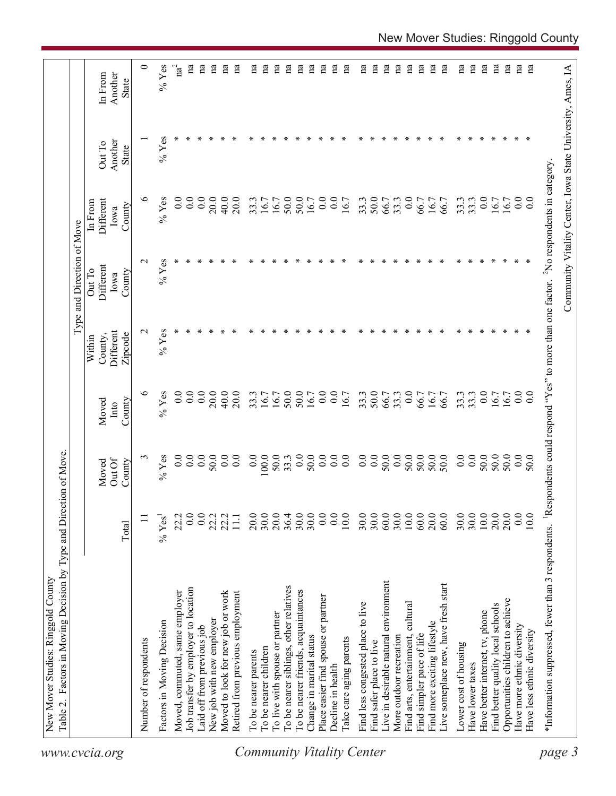| $\circ$<br>$\%$ Yes<br>$\mathrm{na}^2$<br>na<br>na<br>na<br>na<br>na<br>na<br>na<br>na<br>na<br>$\mathbf{a}$<br>na<br>$\mathbf{n}$ a<br>na<br>$\mathbf{a}$<br>na<br>na<br>$\mathbf{a}$<br>na<br>na<br>na<br>$\mathbf{a}$<br>na<br>Вu<br>na<br>na<br>пa<br>na<br>na<br>$\mathbf{a}$<br>Another<br>In From<br>State<br>$%$ Yes<br>Another<br>Out To<br>State<br>७<br>$%$ Yes<br>0.0<br>0.0<br>0.0<br>$0.0\,$<br>20.0<br>40.0<br>20.0<br>50.0<br>50.0<br>0.0<br>0.0<br>33.3<br>50.0<br>0.0<br>33.3<br>0.0<br>Different<br>33.3<br>33.3<br>16.7<br>$\overline{0.0}$<br>16.7<br>16.7<br>16.7<br>16.7<br>66.7<br>33.3<br>66.7<br>66.7<br>16.7<br>16.7<br>In From<br>County<br>lowa<br>$%$ Yes<br>$\sim$<br>∗<br>∗<br>∗<br>∗<br>∗<br>∗<br>∗<br>∗<br>∗<br>$\ast$<br>∗<br>∗<br>∗<br>∗<br>∗<br>∗<br>∗<br>Different<br>Out To<br>County<br>Iowa<br>$%$ Yes<br>$\sim$<br>Different<br>County,<br>Zipcode<br>Within<br>७<br>$%$ Yes<br>50.0<br>50.0<br>0.0<br>0.0<br>$0.0\,$<br>$\overline{0}$ .<br>$\overline{0}$ .<br>20.0<br>50.0<br>0.0<br>$\overline{0.0}$<br>33.3<br>0.0<br>20.0<br>40.0<br>33.3<br>16.7<br>33.3<br>33.3<br>16.7<br>$\overline{0.0}$<br>16.7<br>16.7<br>66.7<br>33.3<br>66.7<br>16.7<br>16.7<br>66.7<br>16.7<br>Moved<br>County<br>Into<br>0.0<br>$\begin{array}{c} 50.0 \\ 0.0 \end{array}$<br>$\begin{array}{c} 0.0 \\ 0.0 \end{array}$<br>50.0<br>0.0<br>50.0<br>50.0<br>50.0<br>50.0<br>0.0<br>0.0<br>0.0<br>0.0<br>$100.0$<br>50.0<br>33.3<br>0.0<br>0.0<br>50.0<br>50.0<br>0.0<br>0.0<br>50.0<br>$\epsilon$<br>$%$ Yes<br>0.0<br>50.0<br>0.0<br>$\overline{0.0}$<br>50.0<br>Out Of<br>Moved<br>County<br>20.0<br>0.0<br>$30.0$<br>$20.0$<br>$36.4$<br>$30.0$<br>30.0<br>0.0<br>0.0<br>30.0<br>$30.0$<br>$60.0$<br>$\frac{30.0}{10.0}$<br>$60.0$<br>20.0<br>60.0<br>30.0<br>30.0<br>$10.0$<br>20.0<br>0.0<br>0.0<br>22.2<br>22.2<br>20.0<br>10.0<br>10.0<br>22.2<br>$11.1\,$<br>$\Xi$<br>% Yes <sup>1</sup><br>Total<br>Live in desirable natural environment<br>Live someplace new, have fresh start<br>To be nearer siblings, other relatives<br>Job transfer by employer to location<br>To be nearer friends, acquaintances<br>Moved, commuted, same employer<br>Moved to look for new job or work<br>Retired from previous employment<br>Place easier find spouse or partner<br>Opportunities children to achieve<br>Find less congested place to live<br>Find arts, entertainment, cultural<br>Find better quality local schools<br>Have better internet, tv, phone<br>To live with spouse or partner<br>New job with new employer<br>Factors in Moving Decision<br>Find more exciting lifestyle<br>Have more ethnic diversity<br>Laid off from previous job<br>Have less ethnic diversity<br>More outdoor recreation<br>Find simpler pace of life<br>Change in marital status<br>lake care aging parents<br>Number of respondents<br>Find safer place to live<br>Lower cost of housing<br>To be nearer children<br>To be nearer parents<br>Have lower taxes<br>Decline in health<br>www.cvcia.org |        | Factors in Moving Decision by Type and Direction of Move. |  |  | Type and Direction of Move |  |  |
|-----------------------------------------------------------------------------------------------------------------------------------------------------------------------------------------------------------------------------------------------------------------------------------------------------------------------------------------------------------------------------------------------------------------------------------------------------------------------------------------------------------------------------------------------------------------------------------------------------------------------------------------------------------------------------------------------------------------------------------------------------------------------------------------------------------------------------------------------------------------------------------------------------------------------------------------------------------------------------------------------------------------------------------------------------------------------------------------------------------------------------------------------------------------------------------------------------------------------------------------------------------------------------------------------------------------------------------------------------------------------------------------------------------------------------------------------------------------------------------------------------------------------------------------------------------------------------------------------------------------------------------------------------------------------------------------------------------------------------------------------------------------------------------------------------------------------------------------------------------------------------------------------------------------------------------------------------------------------------------------------------------------------------------------------------------------------------------------------------------------------------------------------------------------------------------------------------------------------------------------------------------------------------------------------------------------------------------------------------------------------------------------------------------------------------------------------------------------------------------------------------------------------------------------------------------------------------------------------------------------------------------------------------------------------------------------------------------------------------------------------------------------------------------------------------------------------------------------------------------------------------------------------------------------------------------------------------------------------------------------------------------------------|--------|-----------------------------------------------------------|--|--|----------------------------|--|--|
|                                                                                                                                                                                                                                                                                                                                                                                                                                                                                                                                                                                                                                                                                                                                                                                                                                                                                                                                                                                                                                                                                                                                                                                                                                                                                                                                                                                                                                                                                                                                                                                                                                                                                                                                                                                                                                                                                                                                                                                                                                                                                                                                                                                                                                                                                                                                                                                                                                                                                                                                                                                                                                                                                                                                                                                                                                                                                                                                                                                                                       |        |                                                           |  |  |                            |  |  |
|                                                                                                                                                                                                                                                                                                                                                                                                                                                                                                                                                                                                                                                                                                                                                                                                                                                                                                                                                                                                                                                                                                                                                                                                                                                                                                                                                                                                                                                                                                                                                                                                                                                                                                                                                                                                                                                                                                                                                                                                                                                                                                                                                                                                                                                                                                                                                                                                                                                                                                                                                                                                                                                                                                                                                                                                                                                                                                                                                                                                                       |        |                                                           |  |  |                            |  |  |
|                                                                                                                                                                                                                                                                                                                                                                                                                                                                                                                                                                                                                                                                                                                                                                                                                                                                                                                                                                                                                                                                                                                                                                                                                                                                                                                                                                                                                                                                                                                                                                                                                                                                                                                                                                                                                                                                                                                                                                                                                                                                                                                                                                                                                                                                                                                                                                                                                                                                                                                                                                                                                                                                                                                                                                                                                                                                                                                                                                                                                       |        |                                                           |  |  |                            |  |  |
|                                                                                                                                                                                                                                                                                                                                                                                                                                                                                                                                                                                                                                                                                                                                                                                                                                                                                                                                                                                                                                                                                                                                                                                                                                                                                                                                                                                                                                                                                                                                                                                                                                                                                                                                                                                                                                                                                                                                                                                                                                                                                                                                                                                                                                                                                                                                                                                                                                                                                                                                                                                                                                                                                                                                                                                                                                                                                                                                                                                                                       |        |                                                           |  |  |                            |  |  |
|                                                                                                                                                                                                                                                                                                                                                                                                                                                                                                                                                                                                                                                                                                                                                                                                                                                                                                                                                                                                                                                                                                                                                                                                                                                                                                                                                                                                                                                                                                                                                                                                                                                                                                                                                                                                                                                                                                                                                                                                                                                                                                                                                                                                                                                                                                                                                                                                                                                                                                                                                                                                                                                                                                                                                                                                                                                                                                                                                                                                                       |        |                                                           |  |  |                            |  |  |
|                                                                                                                                                                                                                                                                                                                                                                                                                                                                                                                                                                                                                                                                                                                                                                                                                                                                                                                                                                                                                                                                                                                                                                                                                                                                                                                                                                                                                                                                                                                                                                                                                                                                                                                                                                                                                                                                                                                                                                                                                                                                                                                                                                                                                                                                                                                                                                                                                                                                                                                                                                                                                                                                                                                                                                                                                                                                                                                                                                                                                       |        |                                                           |  |  |                            |  |  |
|                                                                                                                                                                                                                                                                                                                                                                                                                                                                                                                                                                                                                                                                                                                                                                                                                                                                                                                                                                                                                                                                                                                                                                                                                                                                                                                                                                                                                                                                                                                                                                                                                                                                                                                                                                                                                                                                                                                                                                                                                                                                                                                                                                                                                                                                                                                                                                                                                                                                                                                                                                                                                                                                                                                                                                                                                                                                                                                                                                                                                       |        |                                                           |  |  |                            |  |  |
|                                                                                                                                                                                                                                                                                                                                                                                                                                                                                                                                                                                                                                                                                                                                                                                                                                                                                                                                                                                                                                                                                                                                                                                                                                                                                                                                                                                                                                                                                                                                                                                                                                                                                                                                                                                                                                                                                                                                                                                                                                                                                                                                                                                                                                                                                                                                                                                                                                                                                                                                                                                                                                                                                                                                                                                                                                                                                                                                                                                                                       |        |                                                           |  |  |                            |  |  |
| <b>Community Vitality Center</b>                                                                                                                                                                                                                                                                                                                                                                                                                                                                                                                                                                                                                                                                                                                                                                                                                                                                                                                                                                                                                                                                                                                                                                                                                                                                                                                                                                                                                                                                                                                                                                                                                                                                                                                                                                                                                                                                                                                                                                                                                                                                                                                                                                                                                                                                                                                                                                                                                                                                                                                                                                                                                                                                                                                                                                                                                                                                                                                                                                                      |        |                                                           |  |  |                            |  |  |
|                                                                                                                                                                                                                                                                                                                                                                                                                                                                                                                                                                                                                                                                                                                                                                                                                                                                                                                                                                                                                                                                                                                                                                                                                                                                                                                                                                                                                                                                                                                                                                                                                                                                                                                                                                                                                                                                                                                                                                                                                                                                                                                                                                                                                                                                                                                                                                                                                                                                                                                                                                                                                                                                                                                                                                                                                                                                                                                                                                                                                       |        |                                                           |  |  |                            |  |  |
|                                                                                                                                                                                                                                                                                                                                                                                                                                                                                                                                                                                                                                                                                                                                                                                                                                                                                                                                                                                                                                                                                                                                                                                                                                                                                                                                                                                                                                                                                                                                                                                                                                                                                                                                                                                                                                                                                                                                                                                                                                                                                                                                                                                                                                                                                                                                                                                                                                                                                                                                                                                                                                                                                                                                                                                                                                                                                                                                                                                                                       |        |                                                           |  |  |                            |  |  |
|                                                                                                                                                                                                                                                                                                                                                                                                                                                                                                                                                                                                                                                                                                                                                                                                                                                                                                                                                                                                                                                                                                                                                                                                                                                                                                                                                                                                                                                                                                                                                                                                                                                                                                                                                                                                                                                                                                                                                                                                                                                                                                                                                                                                                                                                                                                                                                                                                                                                                                                                                                                                                                                                                                                                                                                                                                                                                                                                                                                                                       |        |                                                           |  |  |                            |  |  |
|                                                                                                                                                                                                                                                                                                                                                                                                                                                                                                                                                                                                                                                                                                                                                                                                                                                                                                                                                                                                                                                                                                                                                                                                                                                                                                                                                                                                                                                                                                                                                                                                                                                                                                                                                                                                                                                                                                                                                                                                                                                                                                                                                                                                                                                                                                                                                                                                                                                                                                                                                                                                                                                                                                                                                                                                                                                                                                                                                                                                                       |        |                                                           |  |  |                            |  |  |
|                                                                                                                                                                                                                                                                                                                                                                                                                                                                                                                                                                                                                                                                                                                                                                                                                                                                                                                                                                                                                                                                                                                                                                                                                                                                                                                                                                                                                                                                                                                                                                                                                                                                                                                                                                                                                                                                                                                                                                                                                                                                                                                                                                                                                                                                                                                                                                                                                                                                                                                                                                                                                                                                                                                                                                                                                                                                                                                                                                                                                       |        |                                                           |  |  |                            |  |  |
|                                                                                                                                                                                                                                                                                                                                                                                                                                                                                                                                                                                                                                                                                                                                                                                                                                                                                                                                                                                                                                                                                                                                                                                                                                                                                                                                                                                                                                                                                                                                                                                                                                                                                                                                                                                                                                                                                                                                                                                                                                                                                                                                                                                                                                                                                                                                                                                                                                                                                                                                                                                                                                                                                                                                                                                                                                                                                                                                                                                                                       |        |                                                           |  |  |                            |  |  |
|                                                                                                                                                                                                                                                                                                                                                                                                                                                                                                                                                                                                                                                                                                                                                                                                                                                                                                                                                                                                                                                                                                                                                                                                                                                                                                                                                                                                                                                                                                                                                                                                                                                                                                                                                                                                                                                                                                                                                                                                                                                                                                                                                                                                                                                                                                                                                                                                                                                                                                                                                                                                                                                                                                                                                                                                                                                                                                                                                                                                                       |        |                                                           |  |  |                            |  |  |
|                                                                                                                                                                                                                                                                                                                                                                                                                                                                                                                                                                                                                                                                                                                                                                                                                                                                                                                                                                                                                                                                                                                                                                                                                                                                                                                                                                                                                                                                                                                                                                                                                                                                                                                                                                                                                                                                                                                                                                                                                                                                                                                                                                                                                                                                                                                                                                                                                                                                                                                                                                                                                                                                                                                                                                                                                                                                                                                                                                                                                       |        |                                                           |  |  |                            |  |  |
|                                                                                                                                                                                                                                                                                                                                                                                                                                                                                                                                                                                                                                                                                                                                                                                                                                                                                                                                                                                                                                                                                                                                                                                                                                                                                                                                                                                                                                                                                                                                                                                                                                                                                                                                                                                                                                                                                                                                                                                                                                                                                                                                                                                                                                                                                                                                                                                                                                                                                                                                                                                                                                                                                                                                                                                                                                                                                                                                                                                                                       |        |                                                           |  |  |                            |  |  |
|                                                                                                                                                                                                                                                                                                                                                                                                                                                                                                                                                                                                                                                                                                                                                                                                                                                                                                                                                                                                                                                                                                                                                                                                                                                                                                                                                                                                                                                                                                                                                                                                                                                                                                                                                                                                                                                                                                                                                                                                                                                                                                                                                                                                                                                                                                                                                                                                                                                                                                                                                                                                                                                                                                                                                                                                                                                                                                                                                                                                                       |        |                                                           |  |  |                            |  |  |
|                                                                                                                                                                                                                                                                                                                                                                                                                                                                                                                                                                                                                                                                                                                                                                                                                                                                                                                                                                                                                                                                                                                                                                                                                                                                                                                                                                                                                                                                                                                                                                                                                                                                                                                                                                                                                                                                                                                                                                                                                                                                                                                                                                                                                                                                                                                                                                                                                                                                                                                                                                                                                                                                                                                                                                                                                                                                                                                                                                                                                       |        |                                                           |  |  |                            |  |  |
|                                                                                                                                                                                                                                                                                                                                                                                                                                                                                                                                                                                                                                                                                                                                                                                                                                                                                                                                                                                                                                                                                                                                                                                                                                                                                                                                                                                                                                                                                                                                                                                                                                                                                                                                                                                                                                                                                                                                                                                                                                                                                                                                                                                                                                                                                                                                                                                                                                                                                                                                                                                                                                                                                                                                                                                                                                                                                                                                                                                                                       |        |                                                           |  |  |                            |  |  |
|                                                                                                                                                                                                                                                                                                                                                                                                                                                                                                                                                                                                                                                                                                                                                                                                                                                                                                                                                                                                                                                                                                                                                                                                                                                                                                                                                                                                                                                                                                                                                                                                                                                                                                                                                                                                                                                                                                                                                                                                                                                                                                                                                                                                                                                                                                                                                                                                                                                                                                                                                                                                                                                                                                                                                                                                                                                                                                                                                                                                                       |        |                                                           |  |  |                            |  |  |
|                                                                                                                                                                                                                                                                                                                                                                                                                                                                                                                                                                                                                                                                                                                                                                                                                                                                                                                                                                                                                                                                                                                                                                                                                                                                                                                                                                                                                                                                                                                                                                                                                                                                                                                                                                                                                                                                                                                                                                                                                                                                                                                                                                                                                                                                                                                                                                                                                                                                                                                                                                                                                                                                                                                                                                                                                                                                                                                                                                                                                       |        |                                                           |  |  |                            |  |  |
|                                                                                                                                                                                                                                                                                                                                                                                                                                                                                                                                                                                                                                                                                                                                                                                                                                                                                                                                                                                                                                                                                                                                                                                                                                                                                                                                                                                                                                                                                                                                                                                                                                                                                                                                                                                                                                                                                                                                                                                                                                                                                                                                                                                                                                                                                                                                                                                                                                                                                                                                                                                                                                                                                                                                                                                                                                                                                                                                                                                                                       |        |                                                           |  |  |                            |  |  |
|                                                                                                                                                                                                                                                                                                                                                                                                                                                                                                                                                                                                                                                                                                                                                                                                                                                                                                                                                                                                                                                                                                                                                                                                                                                                                                                                                                                                                                                                                                                                                                                                                                                                                                                                                                                                                                                                                                                                                                                                                                                                                                                                                                                                                                                                                                                                                                                                                                                                                                                                                                                                                                                                                                                                                                                                                                                                                                                                                                                                                       |        |                                                           |  |  |                            |  |  |
|                                                                                                                                                                                                                                                                                                                                                                                                                                                                                                                                                                                                                                                                                                                                                                                                                                                                                                                                                                                                                                                                                                                                                                                                                                                                                                                                                                                                                                                                                                                                                                                                                                                                                                                                                                                                                                                                                                                                                                                                                                                                                                                                                                                                                                                                                                                                                                                                                                                                                                                                                                                                                                                                                                                                                                                                                                                                                                                                                                                                                       |        |                                                           |  |  |                            |  |  |
|                                                                                                                                                                                                                                                                                                                                                                                                                                                                                                                                                                                                                                                                                                                                                                                                                                                                                                                                                                                                                                                                                                                                                                                                                                                                                                                                                                                                                                                                                                                                                                                                                                                                                                                                                                                                                                                                                                                                                                                                                                                                                                                                                                                                                                                                                                                                                                                                                                                                                                                                                                                                                                                                                                                                                                                                                                                                                                                                                                                                                       |        |                                                           |  |  |                            |  |  |
|                                                                                                                                                                                                                                                                                                                                                                                                                                                                                                                                                                                                                                                                                                                                                                                                                                                                                                                                                                                                                                                                                                                                                                                                                                                                                                                                                                                                                                                                                                                                                                                                                                                                                                                                                                                                                                                                                                                                                                                                                                                                                                                                                                                                                                                                                                                                                                                                                                                                                                                                                                                                                                                                                                                                                                                                                                                                                                                                                                                                                       |        |                                                           |  |  |                            |  |  |
|                                                                                                                                                                                                                                                                                                                                                                                                                                                                                                                                                                                                                                                                                                                                                                                                                                                                                                                                                                                                                                                                                                                                                                                                                                                                                                                                                                                                                                                                                                                                                                                                                                                                                                                                                                                                                                                                                                                                                                                                                                                                                                                                                                                                                                                                                                                                                                                                                                                                                                                                                                                                                                                                                                                                                                                                                                                                                                                                                                                                                       |        |                                                           |  |  |                            |  |  |
|                                                                                                                                                                                                                                                                                                                                                                                                                                                                                                                                                                                                                                                                                                                                                                                                                                                                                                                                                                                                                                                                                                                                                                                                                                                                                                                                                                                                                                                                                                                                                                                                                                                                                                                                                                                                                                                                                                                                                                                                                                                                                                                                                                                                                                                                                                                                                                                                                                                                                                                                                                                                                                                                                                                                                                                                                                                                                                                                                                                                                       |        |                                                           |  |  |                            |  |  |
|                                                                                                                                                                                                                                                                                                                                                                                                                                                                                                                                                                                                                                                                                                                                                                                                                                                                                                                                                                                                                                                                                                                                                                                                                                                                                                                                                                                                                                                                                                                                                                                                                                                                                                                                                                                                                                                                                                                                                                                                                                                                                                                                                                                                                                                                                                                                                                                                                                                                                                                                                                                                                                                                                                                                                                                                                                                                                                                                                                                                                       |        |                                                           |  |  |                            |  |  |
|                                                                                                                                                                                                                                                                                                                                                                                                                                                                                                                                                                                                                                                                                                                                                                                                                                                                                                                                                                                                                                                                                                                                                                                                                                                                                                                                                                                                                                                                                                                                                                                                                                                                                                                                                                                                                                                                                                                                                                                                                                                                                                                                                                                                                                                                                                                                                                                                                                                                                                                                                                                                                                                                                                                                                                                                                                                                                                                                                                                                                       |        |                                                           |  |  |                            |  |  |
|                                                                                                                                                                                                                                                                                                                                                                                                                                                                                                                                                                                                                                                                                                                                                                                                                                                                                                                                                                                                                                                                                                                                                                                                                                                                                                                                                                                                                                                                                                                                                                                                                                                                                                                                                                                                                                                                                                                                                                                                                                                                                                                                                                                                                                                                                                                                                                                                                                                                                                                                                                                                                                                                                                                                                                                                                                                                                                                                                                                                                       |        |                                                           |  |  |                            |  |  |
|                                                                                                                                                                                                                                                                                                                                                                                                                                                                                                                                                                                                                                                                                                                                                                                                                                                                                                                                                                                                                                                                                                                                                                                                                                                                                                                                                                                                                                                                                                                                                                                                                                                                                                                                                                                                                                                                                                                                                                                                                                                                                                                                                                                                                                                                                                                                                                                                                                                                                                                                                                                                                                                                                                                                                                                                                                                                                                                                                                                                                       |        |                                                           |  |  |                            |  |  |
| *Information suppressed, fewer than 3 respondents.                                                                                                                                                                                                                                                                                                                                                                                                                                                                                                                                                                                                                                                                                                                                                                                                                                                                                                                                                                                                                                                                                                                                                                                                                                                                                                                                                                                                                                                                                                                                                                                                                                                                                                                                                                                                                                                                                                                                                                                                                                                                                                                                                                                                                                                                                                                                                                                                                                                                                                                                                                                                                                                                                                                                                                                                                                                                                                                                                                    |        |                                                           |  |  |                            |  |  |
| Community Vitality Center, Iowa State University, Ames, IA<br><sup>1</sup> Respondents could respond "Yes" to more than one factor. <sup>2</sup> No respondents in category                                                                                                                                                                                                                                                                                                                                                                                                                                                                                                                                                                                                                                                                                                                                                                                                                                                                                                                                                                                                                                                                                                                                                                                                                                                                                                                                                                                                                                                                                                                                                                                                                                                                                                                                                                                                                                                                                                                                                                                                                                                                                                                                                                                                                                                                                                                                                                                                                                                                                                                                                                                                                                                                                                                                                                                                                                           | page 3 |                                                           |  |  |                            |  |  |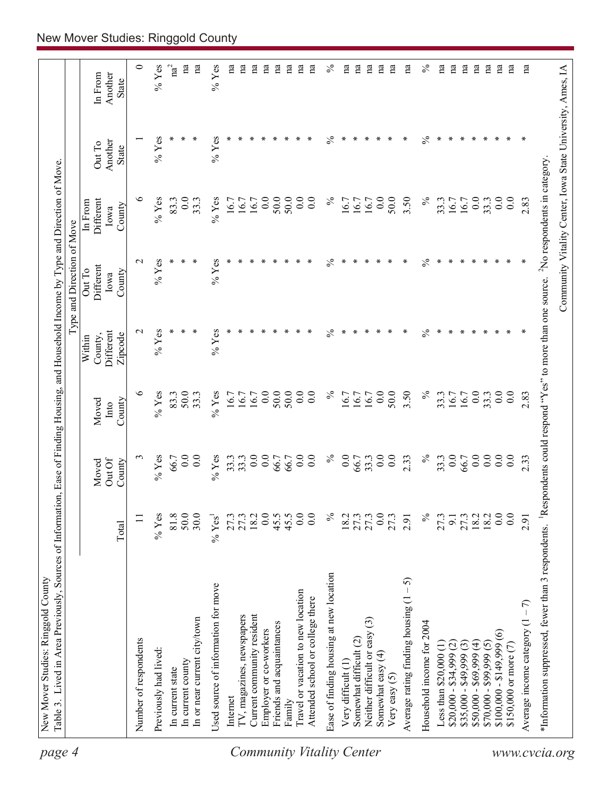| page 4                    | Table 3. Lived in Area Previously, Sources of Information, Ease of Finding Housing, and Household Income by Type and Direction of Move<br>New Mover Studies: Ringgold County |                       |                                             |                  |                      | Type and Direction of Move |                      |                                                            |                         |
|---------------------------|------------------------------------------------------------------------------------------------------------------------------------------------------------------------------|-----------------------|---------------------------------------------|------------------|----------------------|----------------------------|----------------------|------------------------------------------------------------|-------------------------|
|                           |                                                                                                                                                                              |                       |                                             |                  |                      |                            |                      |                                                            |                         |
|                           |                                                                                                                                                                              |                       | Moved                                       | Moved            | County,<br>Within    | Different<br>Out To        | Different<br>In From | Out To                                                     | In From                 |
|                           |                                                                                                                                                                              | Total                 | Out Of<br>County                            | County<br>Into   | Different<br>Zipcode | County<br>Iowa             | County<br>Iowa       | Another<br>State                                           | Another<br>State        |
|                           | Number of respondents                                                                                                                                                        | $\Box$                |                                             | ৩                | $\mathbf{\sim}$      | $\mathbf{\sim}$            | ७                    |                                                            | 0                       |
|                           | Previously had lived:                                                                                                                                                        | $%$ Yes               | $%$ Yes                                     | $%$ Yes          | $%$ Yes              | $%$ Yes                    | $%$ Yes              | $%$ Yes                                                    | $%$ Yes                 |
|                           |                                                                                                                                                                              |                       |                                             |                  |                      |                            |                      |                                                            |                         |
|                           | In current state                                                                                                                                                             | $81.8$<br>50.0        | 0.0<br>66.7                                 | 50.0<br>83.3     |                      | ∗                          | 83.3                 |                                                            | $\mathrm{na}^2$         |
|                           | In or near current city/town<br>In current county                                                                                                                            | 30.0                  | 0.0                                         | 33.3             |                      | ∗                          | 0.0<br>33.3          |                                                            | na<br>na                |
|                           | Used source of information for move                                                                                                                                          | $\%$ Yes <sup>1</sup> | $%$ Yes                                     | $%$ Yes          | $%$ Yes              | $%$ Yes                    | $%$ Yes              | $%$ Yes                                                    | $\%$ Yes                |
|                           | Internet                                                                                                                                                                     | 27.3                  |                                             | 16.7             |                      |                            | 16.7                 |                                                            | na                      |
|                           | IV, magazines, newspapers                                                                                                                                                    | 27.3                  | $\begin{array}{c} 33.3 \\ 33.3 \end{array}$ | 16.7             |                      |                            | 16.7                 |                                                            | na                      |
|                           | Current community resident                                                                                                                                                   | 18.2                  | 0.0                                         | 16.7             |                      |                            | 16.7                 |                                                            | $\mathbf{a}$            |
|                           | Employer or co-workers                                                                                                                                                       | 0.0                   | 0.0                                         | 0.0              |                      |                            | 0.0                  |                                                            | na                      |
|                           | Friends and acquaintances                                                                                                                                                    | 45.5                  | 66.7                                        | 50.0             |                      |                            | 50.0                 |                                                            | $\mathbf{a}$            |
|                           | Family                                                                                                                                                                       | 45.5                  | 66.7                                        | 50.0             |                      |                            | 50.0                 |                                                            | na                      |
|                           | Travel or vacation to new location                                                                                                                                           | 0.0                   | $\overline{0.0}$                            | 0.0              |                      |                            | 0.0                  |                                                            | na                      |
|                           | Attended school or college there                                                                                                                                             | 0.0                   | 0.0                                         | 0.0              |                      |                            | 0.0                  |                                                            | na                      |
| Community Vitality Center | Ease of finding housing at new location                                                                                                                                      | $\%$                  | $\%$                                        | $\%$             | $\%$                 | $\%$                       | $\%$                 | $\%$                                                       | $\%$                    |
|                           | Very difficult (1)                                                                                                                                                           | 18.2                  | 0.0                                         | 16.7             | ∗                    | ∗                          | 16.7                 | ∗                                                          | na                      |
|                           | Somewhat difficult (2)                                                                                                                                                       | 27.3                  | 66.7                                        | 16.7             | ∗                    |                            | 16.7                 | ∗                                                          | na                      |
|                           | $\widehat{\mathbb{G}}$<br>Neither difficult or easy                                                                                                                          | 27.3                  | 33.3                                        | 16.7             |                      |                            | 16.7                 | ∗                                                          | $\mathbf{a}$            |
|                           | Somewhat easy $(4)$                                                                                                                                                          | 0.0                   | 0.0                                         | 0.0              | ∗                    |                            | 0.0                  | ∗                                                          | $\mathbf{a}$            |
|                           | Very easy (5)                                                                                                                                                                | 27.3                  | 0.0                                         | 50.0             | ∗                    |                            | 50.0                 | ∗                                                          | $\mathbf{a}$            |
|                           | 5<br>Average rating finding housing (1                                                                                                                                       | 2.91                  | 2.33                                        | 3.50             | $\ast$               | ∗                          | 3.50                 | ∗                                                          | na                      |
|                           | Household income for 2004                                                                                                                                                    | $\%$                  | $\%$                                        | $\%$             | $\frac{5}{6}$        | $\%$                       | $\%$                 | $\frac{5}{6}$                                              | $\%$                    |
|                           | Less than $$20,000(1)$                                                                                                                                                       | 27.3                  | 33.3                                        | 33.3             | ∗                    | ∗                          | 33.3                 | ∗                                                          | $\overline{\mathrm{n}}$ |
|                           | $$20,000 - $34,999 (2)$                                                                                                                                                      | 9.1                   | 0.0                                         | 16.7             | ∗                    |                            | 16.7                 | ∗                                                          | $\mathbf{a}$            |
|                           | $$35,000 - $49,999$ (3)                                                                                                                                                      | 27.3                  | 66.7                                        | 16.7             | ⊀                    |                            | 16.7                 | ∗                                                          | na                      |
|                           | $$50,000 - $69,999 (4)$                                                                                                                                                      | 18.2                  | 0.0                                         | 0.0              | ∗                    |                            | 0.0                  | ∗                                                          | na                      |
|                           | $$70,000 - $99,999 (5)$                                                                                                                                                      | 18.2                  | 0.0                                         | 33.3             | ∗                    | ∗                          | 33.3                 | ∗                                                          | na                      |
|                           | $$100,000 - $149,999(6)$                                                                                                                                                     | 0.0                   | 0.0                                         | 0.0              | ∗                    | ∗                          | 0.0                  | ∗                                                          | na                      |
|                           | \$150,000 or more (7)                                                                                                                                                        | 0.0                   | 0.0                                         | $\overline{0}$ . |                      |                            | 0.0                  | ∗                                                          | na                      |
|                           | Average income category $(1 - 7)$                                                                                                                                            | 2.91                  | 2.33                                        | 2.83             |                      |                            | 2.83                 | ∗                                                          | na                      |
|                           | *Information suppressed, fewer than 3 respondents. <sup>1</sup> Respondents could respond "Yes" to more than one source. <sup>2</sup> No respondents in category             |                       |                                             |                  |                      |                            |                      |                                                            |                         |
| www.cvcia.org             |                                                                                                                                                                              |                       |                                             |                  |                      |                            |                      | Community Vitality Center, Iowa State University, Ames, IA |                         |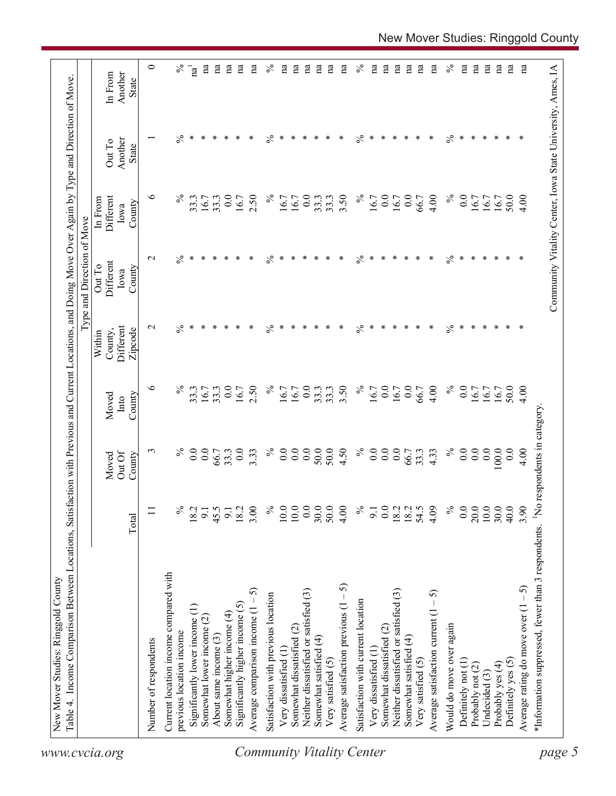| <b>State</b><br>$\%$<br>℅<br>$\%$<br>$\%$<br>∗<br>∗<br>∗<br>$\ast$<br>$\ast$<br>∗<br>∗<br>∗<br>∗<br>∗<br>∗<br>∗<br>∗<br>∗<br>∗<br>∗<br>∗<br>∗<br>∗<br>∗<br>∗<br>∗<br>∗<br>∗<br>Another<br>Out To<br>State<br>७<br>$\%$<br>0.0<br>$\%$<br>0.0<br>$\%$<br>0.0<br>2.50<br>0.0<br>3.50<br>$\%$<br>16.7<br>0.0<br>4.00<br>50.0<br>Different<br>33.3<br>16.7<br>33.3<br>16.7<br>16.7<br>33.3<br>33.3<br>66.7<br>16.7<br>16.7<br>4.00<br>16.7<br>16.7<br>16.7<br>In From<br>County<br>Iowa<br>℅<br>$\%$<br>∗<br>$\frac{5}{6}$<br>$\%$<br>∗<br>$\ast$<br>∗<br>$\ast$<br>∗<br>$\ast$<br>$\mathbf{\sim}$<br>$\ast$<br>∗<br>∗<br>∗<br>∗<br>$\ast$<br>$\ast$<br>∗<br>$\ast$<br>∗<br>$\ast$<br>∗<br>∗<br>∗<br>∗<br>∗<br>∗<br>Different<br>Out To<br>County<br>Iowa<br>$\%$<br>$\%$<br>$\ast$<br>$\ast$<br>∗<br>$\ast$<br>$\%$<br>∗<br>$\ast$<br>∗<br>$\ast$<br>$\%$<br>Different<br>$\mathbf{\sim}$<br>$\ast$<br>∗<br>∗<br>$\ast$<br>∗<br>∗<br>∗<br>$\ast$<br>$\ast$<br>∗<br>∗<br>∗<br>∗<br>∗<br>∗<br>∗<br>Zipcode<br>County,<br>Within<br>$\%$<br>$\%$<br>$\%$<br>७<br>$\%$<br>0.0<br>2.50<br>0.0<br>3.50<br>0.0<br>0.0<br>$\overline{0.0}$<br>33.3<br>33.3<br>33.3<br>33.3<br>16.7<br>4.00<br>50.0<br>4.00<br>16.7<br>16.7<br>16.7<br>16.7<br>66.7<br>16.7<br>16.7<br>16.7<br>16.7<br>County<br>Moved<br>Into<br>$\%$<br>0.0<br>$\%$<br>0.0<br>$\%$<br>0.0<br>0.0<br>0.0<br>0.0<br>50.0<br>50.0<br>4.50<br>0.0<br>0.0<br>0.0<br>0.0<br>100.0<br>0.0<br>$\epsilon$<br>$\%$<br>0.0<br>0.0<br>3.33<br>33.3<br>4.33<br>66.7<br>33.3<br>66.7<br>4.00<br>Out Of<br>County<br>Moved<br>$\frac{5}{6}$<br>0.0<br>20.0<br>$10.0\,$<br>$\%$<br>$10.0\,$<br>10.0<br>50.0<br>$\frac{6}{6}$<br>30.0<br>40.0<br>3.90<br>3.00<br>0.0<br>30.0<br>4.09<br>4.00<br>0.0<br>18.2<br>18.2<br>54.5<br>$\%$<br>18.2<br>18.2<br>9.1<br>45.5<br>9.1<br>9.1<br>$\Xi$<br>Total<br>Current location income compared with<br>Average satisfaction previous $(1 - 5)$<br>Average rating do move over $(1 - 5)$<br><u> ဂ</u><br>Neither dissatisfied or satisfied (3)<br>Neither dissatisfied or satisfied (3)<br>Average satisfaction current $(1 - 5)$<br>Satisfaction with previous location<br>Satisfaction with current location<br>Significantly higher income (5)<br>Average comparison income (1<br>Significantly lower income (1)<br>Somewhat higher income (4)<br>Somewhat lower income (2)<br>Would do move over again<br>Somewhat dissatisfied (2)<br>Somewhat dissatisfied (2)<br>previous location income<br>About same income (3)<br>Somewhat satisfied (4)<br>Somewhat satisfied (4)<br>Number of respondents<br>Very dissatisfied (1)<br>Very dissatisfied (1)<br>Very satisfied (5)<br>Definitely yes (5)<br>Very satisfied (5)<br>Definitely not (1)<br>Probably yes (4)<br>Probably not (2)<br>Undecided (3) |  |  | Type and Direction of Move |  |                    |
|---------------------------------------------------------------------------------------------------------------------------------------------------------------------------------------------------------------------------------------------------------------------------------------------------------------------------------------------------------------------------------------------------------------------------------------------------------------------------------------------------------------------------------------------------------------------------------------------------------------------------------------------------------------------------------------------------------------------------------------------------------------------------------------------------------------------------------------------------------------------------------------------------------------------------------------------------------------------------------------------------------------------------------------------------------------------------------------------------------------------------------------------------------------------------------------------------------------------------------------------------------------------------------------------------------------------------------------------------------------------------------------------------------------------------------------------------------------------------------------------------------------------------------------------------------------------------------------------------------------------------------------------------------------------------------------------------------------------------------------------------------------------------------------------------------------------------------------------------------------------------------------------------------------------------------------------------------------------------------------------------------------------------------------------------------------------------------------------------------------------------------------------------------------------------------------------------------------------------------------------------------------------------------------------------------------------------------------------------------------------------------------------------------------------------------------------------------------------------------------------------------------------------------------------------------------------------------------------------------------------------------------------------------------------------------------------------------------------------------------------------------------------------------------|--|--|----------------------------|--|--------------------|
|                                                                                                                                                                                                                                                                                                                                                                                                                                                                                                                                                                                                                                                                                                                                                                                                                                                                                                                                                                                                                                                                                                                                                                                                                                                                                                                                                                                                                                                                                                                                                                                                                                                                                                                                                                                                                                                                                                                                                                                                                                                                                                                                                                                                                                                                                                                                                                                                                                                                                                                                                                                                                                                                                                                                                                                       |  |  |                            |  | Another<br>In From |
|                                                                                                                                                                                                                                                                                                                                                                                                                                                                                                                                                                                                                                                                                                                                                                                                                                                                                                                                                                                                                                                                                                                                                                                                                                                                                                                                                                                                                                                                                                                                                                                                                                                                                                                                                                                                                                                                                                                                                                                                                                                                                                                                                                                                                                                                                                                                                                                                                                                                                                                                                                                                                                                                                                                                                                                       |  |  |                            |  |                    |
|                                                                                                                                                                                                                                                                                                                                                                                                                                                                                                                                                                                                                                                                                                                                                                                                                                                                                                                                                                                                                                                                                                                                                                                                                                                                                                                                                                                                                                                                                                                                                                                                                                                                                                                                                                                                                                                                                                                                                                                                                                                                                                                                                                                                                                                                                                                                                                                                                                                                                                                                                                                                                                                                                                                                                                                       |  |  |                            |  |                    |
|                                                                                                                                                                                                                                                                                                                                                                                                                                                                                                                                                                                                                                                                                                                                                                                                                                                                                                                                                                                                                                                                                                                                                                                                                                                                                                                                                                                                                                                                                                                                                                                                                                                                                                                                                                                                                                                                                                                                                                                                                                                                                                                                                                                                                                                                                                                                                                                                                                                                                                                                                                                                                                                                                                                                                                                       |  |  |                            |  | $\%$               |
|                                                                                                                                                                                                                                                                                                                                                                                                                                                                                                                                                                                                                                                                                                                                                                                                                                                                                                                                                                                                                                                                                                                                                                                                                                                                                                                                                                                                                                                                                                                                                                                                                                                                                                                                                                                                                                                                                                                                                                                                                                                                                                                                                                                                                                                                                                                                                                                                                                                                                                                                                                                                                                                                                                                                                                                       |  |  |                            |  | ិ<br>ជ             |
|                                                                                                                                                                                                                                                                                                                                                                                                                                                                                                                                                                                                                                                                                                                                                                                                                                                                                                                                                                                                                                                                                                                                                                                                                                                                                                                                                                                                                                                                                                                                                                                                                                                                                                                                                                                                                                                                                                                                                                                                                                                                                                                                                                                                                                                                                                                                                                                                                                                                                                                                                                                                                                                                                                                                                                                       |  |  |                            |  | na                 |
|                                                                                                                                                                                                                                                                                                                                                                                                                                                                                                                                                                                                                                                                                                                                                                                                                                                                                                                                                                                                                                                                                                                                                                                                                                                                                                                                                                                                                                                                                                                                                                                                                                                                                                                                                                                                                                                                                                                                                                                                                                                                                                                                                                                                                                                                                                                                                                                                                                                                                                                                                                                                                                                                                                                                                                                       |  |  |                            |  | na                 |
|                                                                                                                                                                                                                                                                                                                                                                                                                                                                                                                                                                                                                                                                                                                                                                                                                                                                                                                                                                                                                                                                                                                                                                                                                                                                                                                                                                                                                                                                                                                                                                                                                                                                                                                                                                                                                                                                                                                                                                                                                                                                                                                                                                                                                                                                                                                                                                                                                                                                                                                                                                                                                                                                                                                                                                                       |  |  |                            |  | Вu                 |
|                                                                                                                                                                                                                                                                                                                                                                                                                                                                                                                                                                                                                                                                                                                                                                                                                                                                                                                                                                                                                                                                                                                                                                                                                                                                                                                                                                                                                                                                                                                                                                                                                                                                                                                                                                                                                                                                                                                                                                                                                                                                                                                                                                                                                                                                                                                                                                                                                                                                                                                                                                                                                                                                                                                                                                                       |  |  |                            |  | na                 |
|                                                                                                                                                                                                                                                                                                                                                                                                                                                                                                                                                                                                                                                                                                                                                                                                                                                                                                                                                                                                                                                                                                                                                                                                                                                                                                                                                                                                                                                                                                                                                                                                                                                                                                                                                                                                                                                                                                                                                                                                                                                                                                                                                                                                                                                                                                                                                                                                                                                                                                                                                                                                                                                                                                                                                                                       |  |  |                            |  | na                 |
|                                                                                                                                                                                                                                                                                                                                                                                                                                                                                                                                                                                                                                                                                                                                                                                                                                                                                                                                                                                                                                                                                                                                                                                                                                                                                                                                                                                                                                                                                                                                                                                                                                                                                                                                                                                                                                                                                                                                                                                                                                                                                                                                                                                                                                                                                                                                                                                                                                                                                                                                                                                                                                                                                                                                                                                       |  |  |                            |  | $\%$               |
|                                                                                                                                                                                                                                                                                                                                                                                                                                                                                                                                                                                                                                                                                                                                                                                                                                                                                                                                                                                                                                                                                                                                                                                                                                                                                                                                                                                                                                                                                                                                                                                                                                                                                                                                                                                                                                                                                                                                                                                                                                                                                                                                                                                                                                                                                                                                                                                                                                                                                                                                                                                                                                                                                                                                                                                       |  |  |                            |  | na                 |
|                                                                                                                                                                                                                                                                                                                                                                                                                                                                                                                                                                                                                                                                                                                                                                                                                                                                                                                                                                                                                                                                                                                                                                                                                                                                                                                                                                                                                                                                                                                                                                                                                                                                                                                                                                                                                                                                                                                                                                                                                                                                                                                                                                                                                                                                                                                                                                                                                                                                                                                                                                                                                                                                                                                                                                                       |  |  |                            |  | $\mathbf{a}$       |
|                                                                                                                                                                                                                                                                                                                                                                                                                                                                                                                                                                                                                                                                                                                                                                                                                                                                                                                                                                                                                                                                                                                                                                                                                                                                                                                                                                                                                                                                                                                                                                                                                                                                                                                                                                                                                                                                                                                                                                                                                                                                                                                                                                                                                                                                                                                                                                                                                                                                                                                                                                                                                                                                                                                                                                                       |  |  |                            |  | na                 |
|                                                                                                                                                                                                                                                                                                                                                                                                                                                                                                                                                                                                                                                                                                                                                                                                                                                                                                                                                                                                                                                                                                                                                                                                                                                                                                                                                                                                                                                                                                                                                                                                                                                                                                                                                                                                                                                                                                                                                                                                                                                                                                                                                                                                                                                                                                                                                                                                                                                                                                                                                                                                                                                                                                                                                                                       |  |  |                            |  | na                 |
|                                                                                                                                                                                                                                                                                                                                                                                                                                                                                                                                                                                                                                                                                                                                                                                                                                                                                                                                                                                                                                                                                                                                                                                                                                                                                                                                                                                                                                                                                                                                                                                                                                                                                                                                                                                                                                                                                                                                                                                                                                                                                                                                                                                                                                                                                                                                                                                                                                                                                                                                                                                                                                                                                                                                                                                       |  |  |                            |  | na                 |
|                                                                                                                                                                                                                                                                                                                                                                                                                                                                                                                                                                                                                                                                                                                                                                                                                                                                                                                                                                                                                                                                                                                                                                                                                                                                                                                                                                                                                                                                                                                                                                                                                                                                                                                                                                                                                                                                                                                                                                                                                                                                                                                                                                                                                                                                                                                                                                                                                                                                                                                                                                                                                                                                                                                                                                                       |  |  |                            |  | $\mathbf{a}$       |
|                                                                                                                                                                                                                                                                                                                                                                                                                                                                                                                                                                                                                                                                                                                                                                                                                                                                                                                                                                                                                                                                                                                                                                                                                                                                                                                                                                                                                                                                                                                                                                                                                                                                                                                                                                                                                                                                                                                                                                                                                                                                                                                                                                                                                                                                                                                                                                                                                                                                                                                                                                                                                                                                                                                                                                                       |  |  |                            |  | $\%$               |
|                                                                                                                                                                                                                                                                                                                                                                                                                                                                                                                                                                                                                                                                                                                                                                                                                                                                                                                                                                                                                                                                                                                                                                                                                                                                                                                                                                                                                                                                                                                                                                                                                                                                                                                                                                                                                                                                                                                                                                                                                                                                                                                                                                                                                                                                                                                                                                                                                                                                                                                                                                                                                                                                                                                                                                                       |  |  |                            |  | na                 |
|                                                                                                                                                                                                                                                                                                                                                                                                                                                                                                                                                                                                                                                                                                                                                                                                                                                                                                                                                                                                                                                                                                                                                                                                                                                                                                                                                                                                                                                                                                                                                                                                                                                                                                                                                                                                                                                                                                                                                                                                                                                                                                                                                                                                                                                                                                                                                                                                                                                                                                                                                                                                                                                                                                                                                                                       |  |  |                            |  | na                 |
|                                                                                                                                                                                                                                                                                                                                                                                                                                                                                                                                                                                                                                                                                                                                                                                                                                                                                                                                                                                                                                                                                                                                                                                                                                                                                                                                                                                                                                                                                                                                                                                                                                                                                                                                                                                                                                                                                                                                                                                                                                                                                                                                                                                                                                                                                                                                                                                                                                                                                                                                                                                                                                                                                                                                                                                       |  |  |                            |  | na                 |
|                                                                                                                                                                                                                                                                                                                                                                                                                                                                                                                                                                                                                                                                                                                                                                                                                                                                                                                                                                                                                                                                                                                                                                                                                                                                                                                                                                                                                                                                                                                                                                                                                                                                                                                                                                                                                                                                                                                                                                                                                                                                                                                                                                                                                                                                                                                                                                                                                                                                                                                                                                                                                                                                                                                                                                                       |  |  |                            |  | na                 |
|                                                                                                                                                                                                                                                                                                                                                                                                                                                                                                                                                                                                                                                                                                                                                                                                                                                                                                                                                                                                                                                                                                                                                                                                                                                                                                                                                                                                                                                                                                                                                                                                                                                                                                                                                                                                                                                                                                                                                                                                                                                                                                                                                                                                                                                                                                                                                                                                                                                                                                                                                                                                                                                                                                                                                                                       |  |  |                            |  | $\mathbf{a}$       |
|                                                                                                                                                                                                                                                                                                                                                                                                                                                                                                                                                                                                                                                                                                                                                                                                                                                                                                                                                                                                                                                                                                                                                                                                                                                                                                                                                                                                                                                                                                                                                                                                                                                                                                                                                                                                                                                                                                                                                                                                                                                                                                                                                                                                                                                                                                                                                                                                                                                                                                                                                                                                                                                                                                                                                                                       |  |  |                            |  | na                 |
|                                                                                                                                                                                                                                                                                                                                                                                                                                                                                                                                                                                                                                                                                                                                                                                                                                                                                                                                                                                                                                                                                                                                                                                                                                                                                                                                                                                                                                                                                                                                                                                                                                                                                                                                                                                                                                                                                                                                                                                                                                                                                                                                                                                                                                                                                                                                                                                                                                                                                                                                                                                                                                                                                                                                                                                       |  |  |                            |  | $\%$               |
|                                                                                                                                                                                                                                                                                                                                                                                                                                                                                                                                                                                                                                                                                                                                                                                                                                                                                                                                                                                                                                                                                                                                                                                                                                                                                                                                                                                                                                                                                                                                                                                                                                                                                                                                                                                                                                                                                                                                                                                                                                                                                                                                                                                                                                                                                                                                                                                                                                                                                                                                                                                                                                                                                                                                                                                       |  |  |                            |  | Вű                 |
|                                                                                                                                                                                                                                                                                                                                                                                                                                                                                                                                                                                                                                                                                                                                                                                                                                                                                                                                                                                                                                                                                                                                                                                                                                                                                                                                                                                                                                                                                                                                                                                                                                                                                                                                                                                                                                                                                                                                                                                                                                                                                                                                                                                                                                                                                                                                                                                                                                                                                                                                                                                                                                                                                                                                                                                       |  |  |                            |  | na                 |
|                                                                                                                                                                                                                                                                                                                                                                                                                                                                                                                                                                                                                                                                                                                                                                                                                                                                                                                                                                                                                                                                                                                                                                                                                                                                                                                                                                                                                                                                                                                                                                                                                                                                                                                                                                                                                                                                                                                                                                                                                                                                                                                                                                                                                                                                                                                                                                                                                                                                                                                                                                                                                                                                                                                                                                                       |  |  |                            |  | na                 |
|                                                                                                                                                                                                                                                                                                                                                                                                                                                                                                                                                                                                                                                                                                                                                                                                                                                                                                                                                                                                                                                                                                                                                                                                                                                                                                                                                                                                                                                                                                                                                                                                                                                                                                                                                                                                                                                                                                                                                                                                                                                                                                                                                                                                                                                                                                                                                                                                                                                                                                                                                                                                                                                                                                                                                                                       |  |  |                            |  | na                 |
|                                                                                                                                                                                                                                                                                                                                                                                                                                                                                                                                                                                                                                                                                                                                                                                                                                                                                                                                                                                                                                                                                                                                                                                                                                                                                                                                                                                                                                                                                                                                                                                                                                                                                                                                                                                                                                                                                                                                                                                                                                                                                                                                                                                                                                                                                                                                                                                                                                                                                                                                                                                                                                                                                                                                                                                       |  |  |                            |  | пa                 |
|                                                                                                                                                                                                                                                                                                                                                                                                                                                                                                                                                                                                                                                                                                                                                                                                                                                                                                                                                                                                                                                                                                                                                                                                                                                                                                                                                                                                                                                                                                                                                                                                                                                                                                                                                                                                                                                                                                                                                                                                                                                                                                                                                                                                                                                                                                                                                                                                                                                                                                                                                                                                                                                                                                                                                                                       |  |  |                            |  | Вã                 |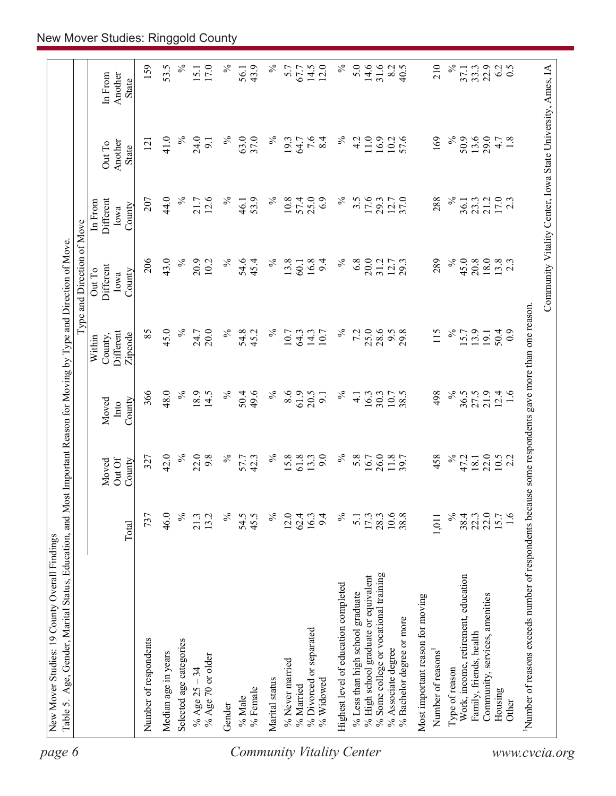| $\%$<br>$\%$<br>$\%$<br>14.6<br>31.6<br>$\%$<br>159<br>53.5<br>17.0<br>℅<br>43.9<br>14.5<br>12.0<br>5.0<br>8.2<br>210<br>22.9<br>6.2<br>0.5<br>5.7<br>40.5<br>15.1<br>67.7<br>33.3<br>56.1<br>37.1<br>Another<br>In From<br><b>State</b><br>$\%$<br>$\%$<br>63.0<br>37.0<br>$\%$<br>$7.6$<br>8.4<br>$\%$<br>169<br>$\%$<br>13.6<br>29.0<br>41.0<br>24.0<br>4.2<br>11.0<br>16.9<br>10.2<br>57.6<br>50.9<br>1.8<br>19.3<br>4.7<br>9.1<br>64.7<br>121<br>Another<br>Out To<br><b>State</b><br>44.0<br>$\%$<br>12.6<br>25.0<br>$\%$<br>17.6<br>$\%$<br>$17.0$<br>2.3<br>21.7<br>$\%$<br>53.9<br>$\%$<br>57.4<br>6.9<br>12.7<br>37.0<br>288<br>21.2<br>207<br>10.8<br>3.5<br>29.3<br>23.3<br>Different<br>46.1<br>36.1<br>In From<br>County<br>Iowa<br>43.0<br>206<br>$\%$<br>13.8<br>$\%$<br>20.0<br>$\%$<br>45.0<br>18.0<br>$13.8$<br>2.3<br>20.9<br>℅<br>54.6<br>$\%$<br>16.8<br>6.8<br>289<br>20.8<br>10.2<br>45.4<br>9.4<br>31.2<br>12.7<br>60.1<br>Different<br>Out To<br>County<br>Iowa<br>Number of reasons exceeds number of respondents because some respondents gave more than one reason.<br>45.0<br>$\%$<br>85<br>$\%$<br>$\%$<br>25.0<br>28.6<br>20.0<br>$\%$<br>9.5<br>29.8<br>115<br>$\%$<br>24.7<br>54.8<br>45.2<br>14.3<br>7.2<br>15.7<br>13.9<br>50.4<br>10.7<br>10.7<br>$_{0.9}$<br>Different<br>64.3<br>19.1<br>Zipcode<br>County,<br>Within<br>366<br>48.0<br>$\%$<br>18.9<br>$\%$<br>$\%$<br>8.6<br>61.9<br>$\%$<br>$\%$<br>14.5<br>50.4<br>49.6<br>20.5<br>38.5<br>498<br>36.5<br>27.5<br>21.9<br>12.4<br>1.6<br>16.3<br>30.3<br>10.7<br>9.1<br>$\overline{4}$<br>County<br>Moved<br>Into<br>$\%$<br>42.0<br>22.0<br>9.8<br>$\%$<br>$\%$<br>15.8<br>9.0<br>$\%$<br>5.8<br>26.0<br>11.8<br>458<br>$\%$<br>22.0<br>57.7<br>42.3<br>61.8<br>13.3<br>16.7<br>47.2<br>$10.5$<br>2.2<br>327<br>18.1<br>Out Of<br>County<br>Moved<br>$\%$<br>$\frac{17.3}{28.3}$<br>$\%$<br>22.0<br>1.6<br>737<br>46.0<br>21.3<br>13.2<br>$\%$<br>54.5<br>45.5<br>$\%$<br>12.0<br>62.4<br>16.3<br>9.4<br>$\%$<br>38.8<br>$38.4$<br>$22.3$<br>15.7<br>$\overline{5}$ .<br>1,011<br>Total<br>% Some college or vocational training<br>% High school graduate or equivalent<br>Work, income, retirement, education<br>Highest level of education completed<br>% Less than high school graduate<br>Community, services, amenities<br>Most important reason for moving<br>% Bachelor degree or more<br>% Divorced or separated<br>Family, friends, health<br>Number of respondents<br>Selected age categories<br>% Associate degree<br>Number of reasons <sup>1</sup><br>Median age in years<br>% Age 70 or older<br>% Never married<br>Type of reason<br>% Age $25 - 34$<br>Marital status<br>% Widowed<br>% Married<br>% Female<br>Housing<br>% Male<br>Other<br>Gender |  |  |  | Type and Direction of Move |  |  |
|------------------------------------------------------------------------------------------------------------------------------------------------------------------------------------------------------------------------------------------------------------------------------------------------------------------------------------------------------------------------------------------------------------------------------------------------------------------------------------------------------------------------------------------------------------------------------------------------------------------------------------------------------------------------------------------------------------------------------------------------------------------------------------------------------------------------------------------------------------------------------------------------------------------------------------------------------------------------------------------------------------------------------------------------------------------------------------------------------------------------------------------------------------------------------------------------------------------------------------------------------------------------------------------------------------------------------------------------------------------------------------------------------------------------------------------------------------------------------------------------------------------------------------------------------------------------------------------------------------------------------------------------------------------------------------------------------------------------------------------------------------------------------------------------------------------------------------------------------------------------------------------------------------------------------------------------------------------------------------------------------------------------------------------------------------------------------------------------------------------------------------------------------------------------------------------------------------------------------------------------------------------------------------------------------------------------------------------------------------------------------------------------------------------------------------------------------------------------------------------------------------------------------------------------------------------------------------------------------------------------------------------------------------------------------------------------------------------------------------------------------------------|--|--|--|----------------------------|--|--|
|                                                                                                                                                                                                                                                                                                                                                                                                                                                                                                                                                                                                                                                                                                                                                                                                                                                                                                                                                                                                                                                                                                                                                                                                                                                                                                                                                                                                                                                                                                                                                                                                                                                                                                                                                                                                                                                                                                                                                                                                                                                                                                                                                                                                                                                                                                                                                                                                                                                                                                                                                                                                                                                                                                                                                                  |  |  |  |                            |  |  |
|                                                                                                                                                                                                                                                                                                                                                                                                                                                                                                                                                                                                                                                                                                                                                                                                                                                                                                                                                                                                                                                                                                                                                                                                                                                                                                                                                                                                                                                                                                                                                                                                                                                                                                                                                                                                                                                                                                                                                                                                                                                                                                                                                                                                                                                                                                                                                                                                                                                                                                                                                                                                                                                                                                                                                                  |  |  |  |                            |  |  |
|                                                                                                                                                                                                                                                                                                                                                                                                                                                                                                                                                                                                                                                                                                                                                                                                                                                                                                                                                                                                                                                                                                                                                                                                                                                                                                                                                                                                                                                                                                                                                                                                                                                                                                                                                                                                                                                                                                                                                                                                                                                                                                                                                                                                                                                                                                                                                                                                                                                                                                                                                                                                                                                                                                                                                                  |  |  |  |                            |  |  |
|                                                                                                                                                                                                                                                                                                                                                                                                                                                                                                                                                                                                                                                                                                                                                                                                                                                                                                                                                                                                                                                                                                                                                                                                                                                                                                                                                                                                                                                                                                                                                                                                                                                                                                                                                                                                                                                                                                                                                                                                                                                                                                                                                                                                                                                                                                                                                                                                                                                                                                                                                                                                                                                                                                                                                                  |  |  |  |                            |  |  |
|                                                                                                                                                                                                                                                                                                                                                                                                                                                                                                                                                                                                                                                                                                                                                                                                                                                                                                                                                                                                                                                                                                                                                                                                                                                                                                                                                                                                                                                                                                                                                                                                                                                                                                                                                                                                                                                                                                                                                                                                                                                                                                                                                                                                                                                                                                                                                                                                                                                                                                                                                                                                                                                                                                                                                                  |  |  |  |                            |  |  |
|                                                                                                                                                                                                                                                                                                                                                                                                                                                                                                                                                                                                                                                                                                                                                                                                                                                                                                                                                                                                                                                                                                                                                                                                                                                                                                                                                                                                                                                                                                                                                                                                                                                                                                                                                                                                                                                                                                                                                                                                                                                                                                                                                                                                                                                                                                                                                                                                                                                                                                                                                                                                                                                                                                                                                                  |  |  |  |                            |  |  |
|                                                                                                                                                                                                                                                                                                                                                                                                                                                                                                                                                                                                                                                                                                                                                                                                                                                                                                                                                                                                                                                                                                                                                                                                                                                                                                                                                                                                                                                                                                                                                                                                                                                                                                                                                                                                                                                                                                                                                                                                                                                                                                                                                                                                                                                                                                                                                                                                                                                                                                                                                                                                                                                                                                                                                                  |  |  |  |                            |  |  |
|                                                                                                                                                                                                                                                                                                                                                                                                                                                                                                                                                                                                                                                                                                                                                                                                                                                                                                                                                                                                                                                                                                                                                                                                                                                                                                                                                                                                                                                                                                                                                                                                                                                                                                                                                                                                                                                                                                                                                                                                                                                                                                                                                                                                                                                                                                                                                                                                                                                                                                                                                                                                                                                                                                                                                                  |  |  |  |                            |  |  |
|                                                                                                                                                                                                                                                                                                                                                                                                                                                                                                                                                                                                                                                                                                                                                                                                                                                                                                                                                                                                                                                                                                                                                                                                                                                                                                                                                                                                                                                                                                                                                                                                                                                                                                                                                                                                                                                                                                                                                                                                                                                                                                                                                                                                                                                                                                                                                                                                                                                                                                                                                                                                                                                                                                                                                                  |  |  |  |                            |  |  |
|                                                                                                                                                                                                                                                                                                                                                                                                                                                                                                                                                                                                                                                                                                                                                                                                                                                                                                                                                                                                                                                                                                                                                                                                                                                                                                                                                                                                                                                                                                                                                                                                                                                                                                                                                                                                                                                                                                                                                                                                                                                                                                                                                                                                                                                                                                                                                                                                                                                                                                                                                                                                                                                                                                                                                                  |  |  |  |                            |  |  |
|                                                                                                                                                                                                                                                                                                                                                                                                                                                                                                                                                                                                                                                                                                                                                                                                                                                                                                                                                                                                                                                                                                                                                                                                                                                                                                                                                                                                                                                                                                                                                                                                                                                                                                                                                                                                                                                                                                                                                                                                                                                                                                                                                                                                                                                                                                                                                                                                                                                                                                                                                                                                                                                                                                                                                                  |  |  |  |                            |  |  |
|                                                                                                                                                                                                                                                                                                                                                                                                                                                                                                                                                                                                                                                                                                                                                                                                                                                                                                                                                                                                                                                                                                                                                                                                                                                                                                                                                                                                                                                                                                                                                                                                                                                                                                                                                                                                                                                                                                                                                                                                                                                                                                                                                                                                                                                                                                                                                                                                                                                                                                                                                                                                                                                                                                                                                                  |  |  |  |                            |  |  |
|                                                                                                                                                                                                                                                                                                                                                                                                                                                                                                                                                                                                                                                                                                                                                                                                                                                                                                                                                                                                                                                                                                                                                                                                                                                                                                                                                                                                                                                                                                                                                                                                                                                                                                                                                                                                                                                                                                                                                                                                                                                                                                                                                                                                                                                                                                                                                                                                                                                                                                                                                                                                                                                                                                                                                                  |  |  |  |                            |  |  |
|                                                                                                                                                                                                                                                                                                                                                                                                                                                                                                                                                                                                                                                                                                                                                                                                                                                                                                                                                                                                                                                                                                                                                                                                                                                                                                                                                                                                                                                                                                                                                                                                                                                                                                                                                                                                                                                                                                                                                                                                                                                                                                                                                                                                                                                                                                                                                                                                                                                                                                                                                                                                                                                                                                                                                                  |  |  |  |                            |  |  |
|                                                                                                                                                                                                                                                                                                                                                                                                                                                                                                                                                                                                                                                                                                                                                                                                                                                                                                                                                                                                                                                                                                                                                                                                                                                                                                                                                                                                                                                                                                                                                                                                                                                                                                                                                                                                                                                                                                                                                                                                                                                                                                                                                                                                                                                                                                                                                                                                                                                                                                                                                                                                                                                                                                                                                                  |  |  |  |                            |  |  |
|                                                                                                                                                                                                                                                                                                                                                                                                                                                                                                                                                                                                                                                                                                                                                                                                                                                                                                                                                                                                                                                                                                                                                                                                                                                                                                                                                                                                                                                                                                                                                                                                                                                                                                                                                                                                                                                                                                                                                                                                                                                                                                                                                                                                                                                                                                                                                                                                                                                                                                                                                                                                                                                                                                                                                                  |  |  |  |                            |  |  |
|                                                                                                                                                                                                                                                                                                                                                                                                                                                                                                                                                                                                                                                                                                                                                                                                                                                                                                                                                                                                                                                                                                                                                                                                                                                                                                                                                                                                                                                                                                                                                                                                                                                                                                                                                                                                                                                                                                                                                                                                                                                                                                                                                                                                                                                                                                                                                                                                                                                                                                                                                                                                                                                                                                                                                                  |  |  |  |                            |  |  |
|                                                                                                                                                                                                                                                                                                                                                                                                                                                                                                                                                                                                                                                                                                                                                                                                                                                                                                                                                                                                                                                                                                                                                                                                                                                                                                                                                                                                                                                                                                                                                                                                                                                                                                                                                                                                                                                                                                                                                                                                                                                                                                                                                                                                                                                                                                                                                                                                                                                                                                                                                                                                                                                                                                                                                                  |  |  |  |                            |  |  |
|                                                                                                                                                                                                                                                                                                                                                                                                                                                                                                                                                                                                                                                                                                                                                                                                                                                                                                                                                                                                                                                                                                                                                                                                                                                                                                                                                                                                                                                                                                                                                                                                                                                                                                                                                                                                                                                                                                                                                                                                                                                                                                                                                                                                                                                                                                                                                                                                                                                                                                                                                                                                                                                                                                                                                                  |  |  |  |                            |  |  |
|                                                                                                                                                                                                                                                                                                                                                                                                                                                                                                                                                                                                                                                                                                                                                                                                                                                                                                                                                                                                                                                                                                                                                                                                                                                                                                                                                                                                                                                                                                                                                                                                                                                                                                                                                                                                                                                                                                                                                                                                                                                                                                                                                                                                                                                                                                                                                                                                                                                                                                                                                                                                                                                                                                                                                                  |  |  |  |                            |  |  |
|                                                                                                                                                                                                                                                                                                                                                                                                                                                                                                                                                                                                                                                                                                                                                                                                                                                                                                                                                                                                                                                                                                                                                                                                                                                                                                                                                                                                                                                                                                                                                                                                                                                                                                                                                                                                                                                                                                                                                                                                                                                                                                                                                                                                                                                                                                                                                                                                                                                                                                                                                                                                                                                                                                                                                                  |  |  |  |                            |  |  |
|                                                                                                                                                                                                                                                                                                                                                                                                                                                                                                                                                                                                                                                                                                                                                                                                                                                                                                                                                                                                                                                                                                                                                                                                                                                                                                                                                                                                                                                                                                                                                                                                                                                                                                                                                                                                                                                                                                                                                                                                                                                                                                                                                                                                                                                                                                                                                                                                                                                                                                                                                                                                                                                                                                                                                                  |  |  |  |                            |  |  |
|                                                                                                                                                                                                                                                                                                                                                                                                                                                                                                                                                                                                                                                                                                                                                                                                                                                                                                                                                                                                                                                                                                                                                                                                                                                                                                                                                                                                                                                                                                                                                                                                                                                                                                                                                                                                                                                                                                                                                                                                                                                                                                                                                                                                                                                                                                                                                                                                                                                                                                                                                                                                                                                                                                                                                                  |  |  |  |                            |  |  |
|                                                                                                                                                                                                                                                                                                                                                                                                                                                                                                                                                                                                                                                                                                                                                                                                                                                                                                                                                                                                                                                                                                                                                                                                                                                                                                                                                                                                                                                                                                                                                                                                                                                                                                                                                                                                                                                                                                                                                                                                                                                                                                                                                                                                                                                                                                                                                                                                                                                                                                                                                                                                                                                                                                                                                                  |  |  |  |                            |  |  |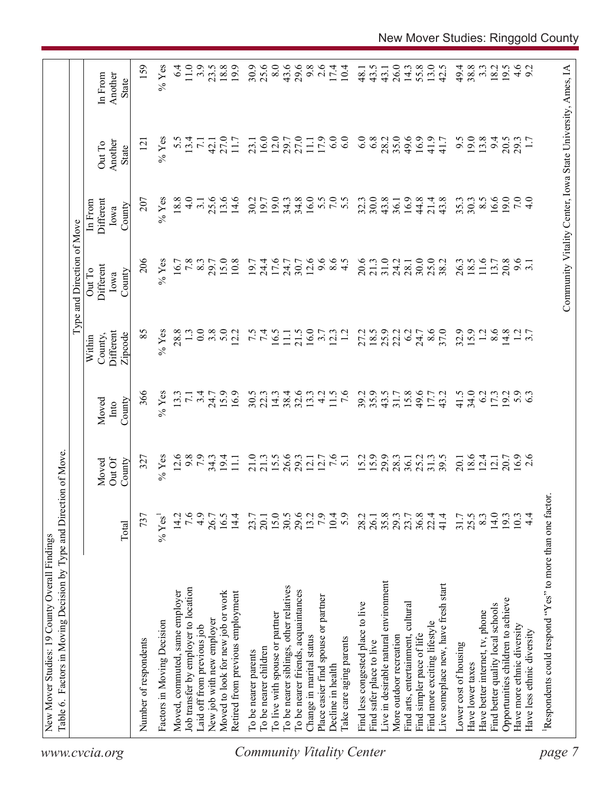| www.cvcia.org                    | Table 6. Factors in Moving Decision by Type and Direction of Move. |                  |                           |                         | Within                          | Type and Direction of Move<br>Out To | In From                     |                                                            |                                    |
|----------------------------------|--------------------------------------------------------------------|------------------|---------------------------|-------------------------|---------------------------------|--------------------------------------|-----------------------------|------------------------------------------------------------|------------------------------------|
|                                  |                                                                    | Total            | Out Of<br>County<br>Moved | County<br>Moved<br>Into | Different<br>Zipcode<br>County, | Different<br>County<br>Iowa          | Different<br>County<br>Iowa | Another<br>Out To<br>State                                 | Another<br>In From<br><b>State</b> |
|                                  | Number of respondents                                              | 737              | 327                       | 366                     | 85                              | 206                                  | 207                         | $\overline{121}$                                           | 159                                |
|                                  | Factors in Moving Decision                                         | $%$ Yes          | $%$ Yes                   | $%$ Yes                 | $%$ Yes                         | $%$ Yes                              | $%$ Yes                     | $%$ Yes                                                    | $%$ Yes                            |
|                                  | Moved, commuted, same employer                                     | 14.2             | 12.6                      | 13.3                    | 28.8                            | 16.7                                 | 18.8                        | 5.5                                                        | $6\dot{4}$                         |
|                                  | Job transfer by employer to location                               | 7.6              | 9.8                       | $\overline{7.1}$        |                                 | 7.8                                  | $\frac{0}{4}$               | 13.4                                                       | $11.0$                             |
|                                  | Laid off from previous job                                         | 4.9              | 7.9                       | 3.4                     | 0.0                             | 8.3                                  | $\overline{3}$ .            | $\overline{7.1}$                                           | 3.9                                |
|                                  | New job with new employer                                          | 26.7             |                           | 24.7                    | 3.8                             | 29.7                                 | 25.6                        | 42.1                                                       | 23.5                               |
|                                  | Moved to look for new job or work                                  | 16.5             | $34.3$<br>19.4            | 15.9                    | 5.0                             | 15.0                                 | 13.6                        | 27.0                                                       | 18.8                               |
|                                  | Retired from previous employment                                   | 14.4             | $\overline{111}$          | 16.9                    | 12.2                            | 10.8                                 | 14.6                        | 11.7                                                       | 19.9                               |
|                                  | To be nearer parents                                               | 23.7             | 21.0                      | 30.5                    |                                 | 19.7                                 | 30.2                        | 23.1                                                       | 30.9                               |
|                                  | To be nearer children                                              | 20.1             | 21.3                      | 22.3                    | 7.5                             | 24.4                                 | 19.7                        | 16.0                                                       | 25.6                               |
|                                  | To live with spouse or partner                                     |                  | 15.5                      | 14.3                    | 16.5                            | 17.6                                 | 19.0                        | 12.0                                                       | 8.0                                |
|                                  | To be nearer siblings, other relatives                             | 15.0<br>30.5     | 26.6                      | 38.4                    | $\Box$                          | 24.7                                 | 34.3                        | 29.7                                                       | 43.6                               |
|                                  | To be nearer friends, acquaintances                                | 29.6             | 29.3                      | 32.6                    | 21.5                            | 30.7                                 | 34.8                        | 27.0                                                       | 29.6                               |
|                                  | Change in marital status                                           | 13.2             | 12.1                      | 13.3                    | 16.0                            | 12.6                                 | 16.0                        | 11.1                                                       | 9.8                                |
|                                  | Place easier find spouse or partner                                | 7.9              | 12.7                      | 4.2                     | 3.7                             | 9.6                                  |                             | 17.9                                                       | 2.6                                |
|                                  | Decline in health                                                  | 10.4             | 7.6                       | 11.5                    | 12.3                            | 8.5                                  | 5.5                         | 6.0                                                        | 17.4                               |
| <b>Community Vitality Center</b> | Take care aging parents                                            | 5.9              | $\overline{51}$           | $\frac{6}{7}$           |                                 |                                      | 5.5                         | 6.0                                                        | 10.4                               |
|                                  | Find less congested place to live                                  | 28.2             | 15.2                      | 39.2                    | 27.2                            | 20.6                                 | 32.3                        | 6.0                                                        | 48.1                               |
|                                  | Find safer place to live                                           | 26.1             | 15.9                      | 35.9                    |                                 | 21.3                                 | 30.0                        | 6.8                                                        | 43.5                               |
|                                  | Live in desirable natural environment                              | 35.8             | 29.9                      | 43.5                    | $18.5$<br>25.9                  | 31.0                                 | 43.8                        | 28.2                                                       | 43.1                               |
|                                  | More outdoor recreation                                            | 29.3             | 28.3                      | $31.7$<br>$15.8$        | 22.2                            | 24.2                                 | 36.1                        | 35.0                                                       | 26.0                               |
|                                  | Find arts, entertainment, cultural                                 | 23.7             | 36.1                      |                         | 6.2                             | 28.1                                 | 16.9                        | 49.6                                                       | 14.3                               |
|                                  | Find simpler pace of life                                          | $36.8$<br>$22.4$ | 25.2                      | 49.6                    | 24.7                            | 30.0                                 | 44.8                        | 16.9                                                       | 55.8                               |
|                                  | Find more exciting lifestyle                                       |                  | 31.3                      | 17.7                    | 8.6                             | 25.0                                 | 21.4                        | 41.9                                                       | 13.0                               |
|                                  | Live someplace new, have fresh start                               | 41.4             | 39.5                      | 43.2                    | 37.0                            | 38.2                                 | 43.8                        | 41.7                                                       | 42.5                               |
|                                  | Lower cost of housing                                              | 31.7             | 20.1                      | 41.5                    | 32.9                            | 26.3                                 | 35.3                        | 9.5                                                        | 49.4                               |
|                                  | Have lower taxes                                                   | 25.5             | 18.6                      | 34.0                    | 15.9                            | 18.5                                 | 30.3                        | 19.0                                                       | 38.8                               |
|                                  | Have better internet, tv, phone                                    | 8.3              | 12.4                      | 6.2                     | 1.2                             | 11.6                                 | $8.\overline{5}$            | 13.8                                                       | $3.\overline{3}$                   |
|                                  | Find better quality local schools                                  | 14.0             | 12.1                      | 17.3                    | 8.6                             | 13.7                                 | 16.6                        | 9.4                                                        | 18.2                               |
|                                  | Opportunities children to achieve                                  | 19.3             |                           | 19.2                    | 14.8                            | 20.8                                 | 19.0                        | 20.5                                                       | 19.5                               |
|                                  | Have more ethnic diversity                                         | 10.3             | 20.7<br>16.9              | $5.9$<br>6.3            |                                 | $9.\overline{6}$<br>3.1              | 7.0                         | 29.3                                                       |                                    |
|                                  | Have less ethnic diversity                                         | $4\overline{4}$  | 2.6                       |                         | $\frac{2}{3}$ .7                |                                      | 4.0                         |                                                            | $4.6$<br>9.2                       |
| page                             | Respondents could respond "Yes" to more than one factor            |                  |                           |                         |                                 |                                      |                             |                                                            |                                    |
|                                  |                                                                    |                  |                           |                         |                                 |                                      |                             |                                                            |                                    |
|                                  |                                                                    |                  |                           |                         |                                 |                                      |                             | Community Vitality Center, Iowa State University, Ames, IA |                                    |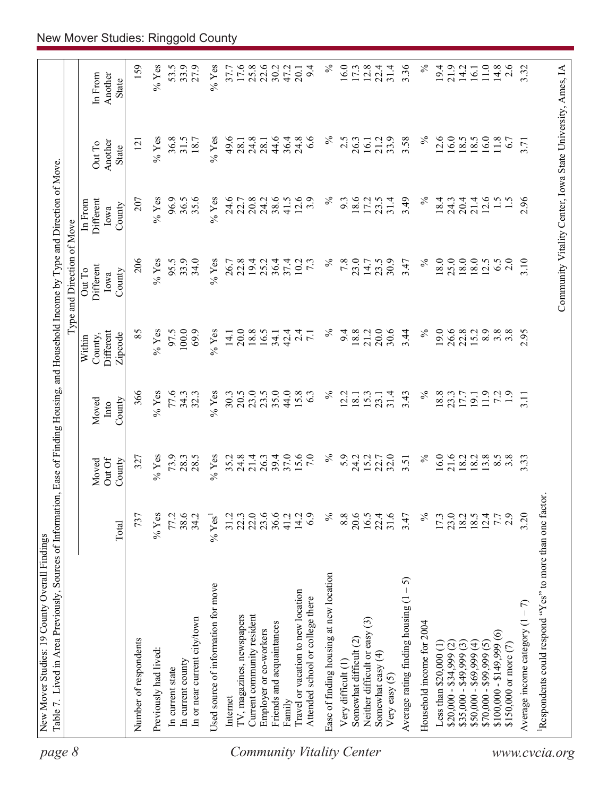| page 8                           | Table 7. Lived in Area Previously, Sources of Information, Ease of Finding Housing, and Household Income by Type and Direction of Move |                      |                          |                         |                                           | Type and Direction of Move                                 |                                        |                            |                             |
|----------------------------------|----------------------------------------------------------------------------------------------------------------------------------------|----------------------|--------------------------|-------------------------|-------------------------------------------|------------------------------------------------------------|----------------------------------------|----------------------------|-----------------------------|
|                                  |                                                                                                                                        | Total                | OutOf<br>County<br>Moved | County<br>Moved<br>Into | Different<br>Zipcode<br>County,<br>Within | Different<br>Out To<br>County<br>Iowa                      | Different<br>In From<br>County<br>Iowa | Another<br>Out To<br>State | In From<br>Another<br>State |
|                                  | Number of respondents                                                                                                                  | 737                  | 327                      | 366                     | 85                                        | 206                                                        | 207                                    | $\overline{2}$             | 159                         |
|                                  | Previously had lived:                                                                                                                  | $%$ Yes              | $%$ Yes                  | $%$ Yes                 | $\%$ Yes                                  | $%$ Yes                                                    | $%$ Yes                                | $\%$ Yes                   | $\%$ Yes                    |
|                                  | In current state                                                                                                                       | 77.2                 | 73.9                     | 77.6                    | 97.5                                      | 95.5                                                       | 96.9                                   | 36.8                       | 53.5                        |
|                                  | In current county                                                                                                                      | 38.6                 | 28.3                     | 34.3                    | 100.0                                     | 33.9                                                       | 36.5                                   | 31.5                       | 33.9                        |
|                                  | In or near current city/town                                                                                                           | 34.2                 | 28.5                     | 32.3                    | 69.9                                      | 34.0                                                       | 35.6                                   | 18.7                       | 27.9                        |
|                                  | Used source of information for move                                                                                                    | $%$ Yes <sup>1</sup> | $%$ Yes                  | $%$ Yes                 | $%$ Yes                                   | $%$ Yes                                                    | $%$ Yes                                | $\%$ Yes                   | $%$ Yes                     |
|                                  | Internet                                                                                                                               | 31.2                 | 35.2                     | 30.3                    | 14.1                                      | 26.7                                                       | 24.6                                   | 49.6                       | 37.7                        |
|                                  | TV, magazines, newspapers                                                                                                              | 22.3                 | 24.8                     | 20.5                    | 20.0                                      | 22.8                                                       | 22.7                                   | 28.1                       | 17.6                        |
|                                  | Current community resident                                                                                                             | 22.0                 | 21.4                     | 23.0                    | 18.8                                      | 19.4                                                       | 20.8                                   | 24.8                       | 25.8                        |
|                                  | Employer or co-workers                                                                                                                 | 23.6                 | 26.3                     | 23.5                    | 16.5                                      | 25.2                                                       | 24.2                                   | 28.1                       | 22.6                        |
|                                  | Friends and acquaintances                                                                                                              | 36.6                 | 39.4                     | 35.0                    | 34.1                                      | 36.4                                                       | 38.6                                   | 44.6                       | 30.2                        |
|                                  | Family                                                                                                                                 | 41.2                 | 37.0                     | 44.0                    | 42.4                                      | 37.4                                                       | 41.5                                   | 36.4                       | 47.2                        |
| <b>Community Vitality Center</b> | Travel or vacation to new location<br>Attended school or college there                                                                 | 14.2<br>6.9          | 15.6<br>7.0              | 15.8<br>63              | $2\overline{4}$<br>$\overline{7.1}$       | 10.2<br>$7\cdot$                                           | 12.6<br>3.9                            | 24.8<br>$\frac{6}{6}$      | 9.4<br>20.1                 |
|                                  | Ease of finding housing at new location                                                                                                | $\%$                 | $\%$                     | $\%$                    | $\%$                                      | $\%$                                                       | $\%$                                   | న                          | $\%$                        |
|                                  | Very difficult (1)                                                                                                                     | 8.8                  | 5.9                      | 2.2                     | 9.4                                       | 7.8                                                        | 9.3                                    | 2.5                        | 16.0                        |
|                                  | Somewhat difficult (2)                                                                                                                 | 20.6                 | 24.2                     | 18.1                    | 18.8                                      | 23.0                                                       | 18.6                                   | 26.3                       | 17.3                        |
|                                  | $\widehat{\mathbb{C}}$<br>Neither difficult or easy                                                                                    | 16.5                 | 15.2                     | 15.3                    | 21.2                                      | 14.7                                                       | 17.2                                   | 16.1                       | 12.8                        |
|                                  | Somewhat easy (4)<br>Very easy $(5)$                                                                                                   | 31.6<br>22.4         | 32.0<br>22.7             | 31.4<br>23.1            | 20.0<br>30.6                              | 30.9<br>23.5                                               | 31.4<br>23.5                           | 33.9<br>21.2               | 31.4<br>22.4                |
|                                  | 5<br>$\mathsf I$<br>Average rating finding housing (1                                                                                  | 3.47                 | 3.51                     | 3.43                    | 3.44                                      | 3.47                                                       | 3.49                                   | 3.58                       | 3.36                        |
|                                  | Household income for 2004                                                                                                              | $\%$                 | $\%$                     | $\%$                    | $\%$                                      | $\%$                                                       | $\%$                                   | $\%$                       | $\%$                        |
|                                  | Less than $$20,000$ $(1)$                                                                                                              | 17.3                 | 16.0                     | 18.8                    | 19.0                                      | 18.0                                                       | 18.4                                   | 12.6                       | 19.4                        |
|                                  | $$20,000 - $34,999 (2)$                                                                                                                | 23.0                 | 21.6                     | 23.3                    | 26.6                                      | 25.0                                                       | 24.3                                   | 16.0                       | 21.9                        |
|                                  | $$35,000 - $49,999(3)$                                                                                                                 |                      | 18.2                     | 17.7                    | 22.8                                      | 18.0                                                       | 20.4                                   | 18.5                       | 14.2                        |
|                                  | $$50,000 - $69,999(4)$                                                                                                                 | 18.5                 | 18.2                     | 19.1                    | 15.2                                      | 18.0                                                       | 21.4                                   | 18.5                       | 16.1                        |
|                                  | $$70,000 - $99,999(5)$                                                                                                                 | 12.4                 | 13.8                     | 11.9                    | 8.9                                       | 12.5                                                       | 12.6                                   | 16.0                       | 11.0                        |
|                                  | $\widehat{\circ}$<br>$$100,000 - $149,999$                                                                                             | 7.7                  | $8.\overline{5}$         | 7.2                     | $3.\overline{8}$                          | 6.5                                                        | $\frac{1}{5}$                          | 11.8                       | 14.8                        |
|                                  | \$150,000 or more (7)                                                                                                                  | 2.9                  | $3.\overline{8}$         | $\ddot{1}$ .            | $3.\overline{8}$                          | 2.0                                                        |                                        | 6.7                        | 2.6                         |
|                                  | Average income category $(1 - 7)$                                                                                                      | 3.20                 | 3.33                     | 3.11                    | 2.95                                      | 3.10                                                       | 2.96                                   | 3.71                       | 3.32                        |
| www.cvcia.org                    | Respondents could respond "Yes" to more than one factor.                                                                               |                      |                          |                         |                                           |                                                            |                                        |                            |                             |
|                                  |                                                                                                                                        |                      |                          |                         |                                           | Community Vitality Center, Iowa State University, Ames, IA |                                        |                            |                             |
|                                  |                                                                                                                                        |                      |                          |                         |                                           |                                                            |                                        |                            |                             |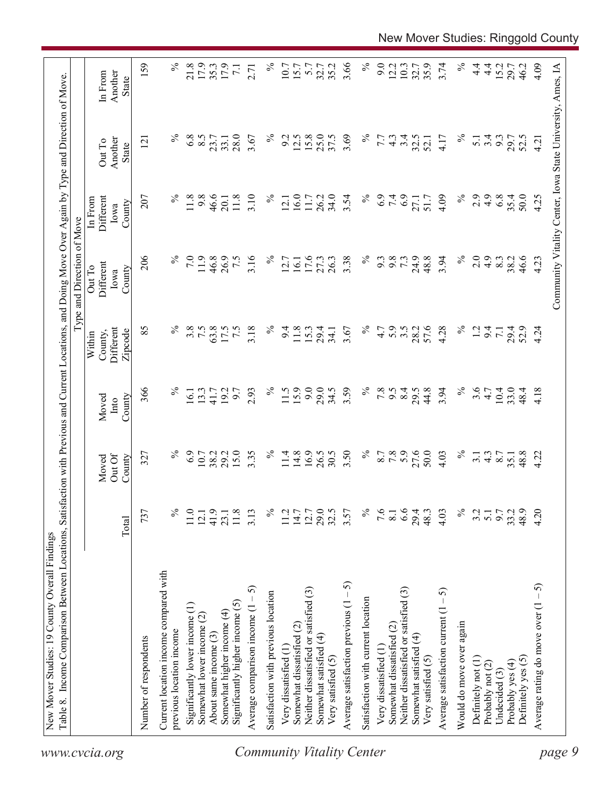|                                                                 |                  |                           |                         |                                           | Type and Direction of Move            |                                                            |                                   |                                    |
|-----------------------------------------------------------------|------------------|---------------------------|-------------------------|-------------------------------------------|---------------------------------------|------------------------------------------------------------|-----------------------------------|------------------------------------|
|                                                                 | Total            | Out Of<br>County<br>Moved | County<br>Moved<br>Into | Different<br>County,<br>Zipcode<br>Within | Different<br>Out To<br>County<br>Iowa | Different<br>In From<br>County<br>Iowa                     | Another<br>Out To<br><b>State</b> | Another<br>In From<br><b>State</b> |
| Number of respondents                                           | 737              | 327                       | 366                     | 85                                        | 206                                   | 207                                                        | $\overline{2}$                    | 159                                |
| Current location income compared with                           |                  |                           |                         |                                           |                                       |                                                            |                                   |                                    |
| previous location income                                        | ℅                | ℅                         | $\%$                    | $\%$                                      |                                       | $\%$                                                       |                                   | $\%$                               |
| Significantly lower income (1)                                  | 11.0             | 6.9                       | 16.1                    | 3.8                                       | 7.0                                   | 11.8                                                       | 6.8                               | 21.8                               |
| Somewhat lower income (2)                                       | 12.1             | 10.7<br>38.2              | 13.3                    | 7.5                                       | 11.9                                  | 9.8                                                        | 8.5                               | 17.9                               |
| About same income (3)                                           | 41.9             |                           | 41.7                    | 63.8                                      | 46.8                                  | 46.6                                                       | 23.7                              | 35.3                               |
| Significantly higher income $(5)$<br>Somewhat higher income (4) | 11.8<br>23.1     | 15.0<br>29.2              | 19.2<br>6.7             | 7.5<br>17.5                               | 26.9<br>7.5                           | 11.8<br>20.1                                               | 28.0<br>33.1                      | 17.9<br>$\overline{71}$            |
| 5<br>Average comparison income $(1 -$                           | 3.13             | 3.35                      | 2.93                    | 3.18                                      | 3.16                                  | 3.10                                                       | 3.67                              | 2.71                               |
|                                                                 |                  | $\%$                      | $\%$                    | $\%$                                      | $\%$                                  | $\%$                                                       | $\%$                              | $\%$                               |
| Satisfaction with previous location                             | ℅                |                           |                         |                                           |                                       |                                                            |                                   |                                    |
| Very dissatisfied (1                                            | 11.2             | 11.4                      | 11.5                    | 9.4                                       | 12.7                                  | 12.1                                                       | 9.2                               | 10.7                               |
| Somewhat dissatisfied (2)                                       | 14.7             | 14.8                      | 15.9                    | 11.8                                      | 16.1                                  | 16.0                                                       | 12.5                              | 15.7                               |
| Neither dissatisfied or satisfied (3)                           | 12.7             | 16.9                      | 9.0                     | 15.3                                      | 17.6                                  | 11.7                                                       | 15.8                              | 5.7                                |
| Somewhat satisfied (4)                                          | 29.5             | 26.5                      | 29.0                    | 29.4                                      | 27.3                                  | 26.2                                                       | 25.0                              | 32.7                               |
| Very satisfied (5)                                              |                  | 30.5                      | 34.5                    | 34.1                                      | 26.3                                  | 34.0                                                       | 37.5                              | 35.2                               |
| Average satisfaction previous $(1 - 5)$                         | 3.57             | 3.50                      | 3.59                    | 3.67                                      | 3.38                                  | 3.54                                                       | 3.69                              | 3.66                               |
| Satisfaction with current location                              | $\%$             | $\%$                      | $\%$                    | $\%$                                      | $\%$                                  | $\%$                                                       | $\%$                              | $\%$                               |
| Very dissatisfied (1                                            | 9.6              |                           | 7.8                     | 4.7                                       | 9.3                                   | 6.9                                                        | 7.7                               | 9.0                                |
| Somewhat dissatisfied (2)                                       | 8.1              | 8.7<br>7.8                | 9.5                     | 5.9                                       | 9.8                                   | 7.4                                                        | $4.\overline{3}$                  | 12.2                               |
| Neither dissatisfied or satisfied (3)                           | 6.6              | 5.9                       | 8.4                     | $3.5$<br>$28.2$                           | 73                                    |                                                            | 3.4                               | 10.3                               |
| Somewhat satisfied (4)                                          | 29.4             | 27.6                      | 29.5                    |                                           | 24.9                                  | 27.1                                                       | 32.5                              | 32.7                               |
| Very satisfied (5)                                              | 48.3             | 50.0                      | 44.8                    | 57.6                                      | 48.8                                  | 51.7                                                       | 52.1                              | 35.9                               |
| Average satisfaction current $(1 - 5)$                          | 4.03             | 4.03                      | 3.94                    | 4.28                                      | 3.94                                  | 4.09                                                       | 4.17                              | 3.74                               |
| Would do move over again                                        | $\%$             | $\%$                      | $\%$                    | $\%$                                      | $\%$                                  | $\%$                                                       | $\%$                              | $\%$                               |
| Definitely not (1)                                              | 3.2              | $\overline{3}$ .          | 3.6                     | $\overline{5}$                            | 2.0                                   | 2.9                                                        | $\overline{5.1}$                  | $\frac{4}{1}$                      |
| Probably not (2)                                                | $\overline{5.1}$ | $4.\overline{3}$          | 4.7                     | 9.4                                       | 4.9                                   | 4.9                                                        | 3.4                               | $\frac{4}{1}$                      |
| Undecided (3)                                                   | 9.7              | 8.7                       | 10.4                    | $\overline{71}$                           | 8.3                                   | 6.8                                                        | 9.3                               | 15.2                               |
| Probably yes (4)                                                | 33.2             | 35.1                      | 33.0                    | 29.4<br>52.9                              | 38.2                                  | 35.4                                                       | 29.7                              | 29.7                               |
| Definitely yes (5)                                              | 48.9             | 48.8                      | 48.4                    |                                           | 46.6                                  | 50.0                                                       | 52.5                              | 46.2                               |
| رې<br>-<br>Average rating do move over (1                       | 4.20             | 4.22                      | 4.18                    | 4.24                                      | 4.23                                  | 4.25                                                       | 4.21                              | 4.09                               |
|                                                                 |                  |                           |                         |                                           |                                       | Community Vitality Center, Iowa State University, Ames, IA |                                   |                                    |